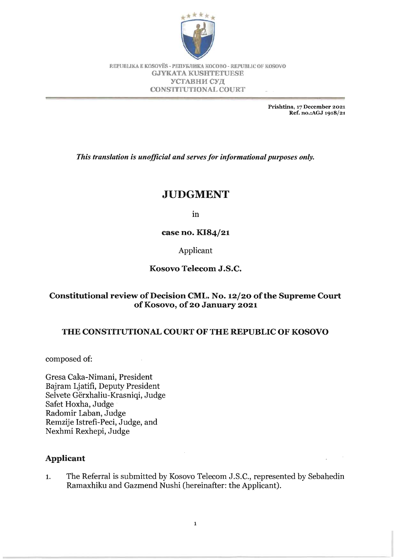

REPUBLIKA E KOSOVËS - PENYEJIMKA KOCOBO - REPUBLIC OF KOSOVO GJYKATA KUSHTETUESE УСТАВНИ СУД CONSTITUTIONAL COURT

> Prishtina, 17 December 2021 Ref. no.:AGJ 1918/21

*This translation is unofficial and serves for informational purposes only.* 

# **JUDGMENT**

In

case no. KI84/21

Applicant

## Kosovo Telecom J.S.C.

## Constitutional review of Decision CML. No. 12/20 of the Supreme Court ofKosovo, of 20 January 2021

## THE CONSTITUTIONAL COURT OF THE REPUBLIC OF KOSOVO

composed of:

Gresa Caka-Nimani, President Bajram Ljatifi, Deputy President Selvete Gerxhaliu-Krasniqi, Judge Safet Hoxha, Judge Radomir Laban, Judge Remzije Istrefi-Peci, Judge, and Nexhmi Rexhepi, Judge

## Applicant

1. The Referral is submitted by Kosovo Telecom J.S.C., represented by Sebahedin Ramaxhiku and Gazmend Nushi (hereinafter: the Applicant).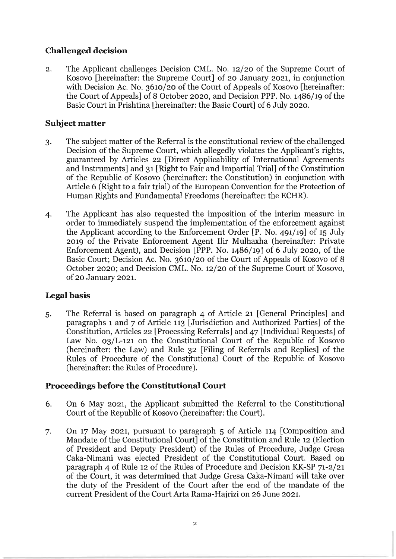## **Challenged decision**

2. The Applicant challenges Decision CML. No. 12/20 of the Supreme Court of Kosovo [hereinafter: the Supreme Court] of 20 January 2021, in conjunction with Decision Ac. No. 3610/20 of the Court of Appeals of Kosovo [hereinafter: the Court of Appeals] of 8 October 2020, and Decision PPP. No. 1486/19 of the Basic Court in Prishtina [hereinafter: the Basic Court] of 6 July 2020.

## **Subject matter**

- 3. The subject matter of the Referral is the constitutional review of the challenged Decision of the Supreme Court, which allegedly violates the Applicant's rights, guaranteed by Articles 22 [Direct Applicability of International Agreements and Instruments] and 31 [Right to Fair and Impartial Trial] of the Constitution of the Republic of Kosovo (hereinafter: the Constitution) in conjunction with Article 6 (Right to a fair trial) of the European Convention for the Protection of Human Rights and Fundamental Freedoms (hereinafter: the ECHR).
- 4. The Applicant has also requested the imposition of the interim measure in order to immediately suspend the implementation of the enforcement against the Applicant according to the Enforcement Order [P. No. 491/19] of 15 July 2019 of the Private Enforcement Agent Ilir Mulhaxha (hereinafter: Private Enforcement Agent), and Decision [PPP. No. 1486/19] of 6 July 2020, of the Basic Court; Decision Ac. No. 3610/20 of the Court of Appeals of Kosovo of 8 October 2020; and Decision CML. No. 12/20 of the Supreme Court of Kosovo, of 20 January 2021.

## **Legal basis**

 $\overline{z}$ 

5. The Referral is based on paragraph 4 of Article 21 [General Principles] and paragraphs 1 and 7 of Article 113 [Jurisdiction and Authorized Parties] of the Constitution, Articles 22 [Processing Referrals] and 47 [Individual Requests] of Law No. 03/L-121 on the Constitutional Court of the Republic of Kosovo (hereinafter: the Law) and Rule 32 [Filing of Referrals and Replies] of the Rules of Procedure of the Constitutional Court of the Republic of Kosovo (hereinafter: the Rules of Procedure).

## **Proceedings before the Constitutional Court**

- 6. On 6 May 2021, the Applicant submitted the Referral to the Constitutional Court of the Republic of Kosovo (hereinafter: the Court).
- 7. On 17 May 2021, pursuant to paragraph 5 of Article 114 [Composition and Mandate of the Constitutional Court] of the Constitution and Rule 12 (Election of President and Deputy President) of the Rules of Procedure, Judge Gresa Caka-Nimani was elected President of the Constitutional Court. Based on paragraph 4 of Rule 12 of the Rules of Procedure and Decision KK-SP 71-2/21 of the Court, it was determined that Judge Gresa Caka-Nimani will take over the duty of the President of the Court after the end of the mandate of the current President of the Court Arta Rama-Hajrizi on 26 June 2021.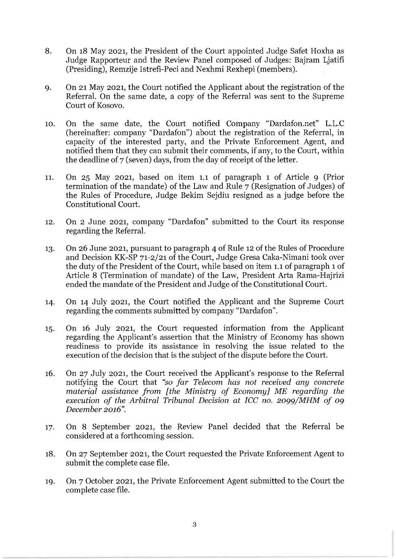- 8. On 18 May 2021, the President of the Court appointed Judge Safet Hoxha as Judge Rapporteur and the Review Panel composed of Judges: Bajram Ljatifi (Presiding), Remzije Istrefi-Peci and Nexhmi Rexhepi (members).
- 9. On 21 May 2021, the Court notified the Applicant about the registration of the Referral. On the same date, a copy of the Referral was sent to the Supreme Court of Kosovo.
- 10. On the same date, the Court notified Company "Dardafon.net" L.L.C (hereinafter: company "Dardafon") about the registration of the Referral, in capacity of the interested party, and the Private Enforcement Agent, and notified them that they can submit their comments, if any, to the Court, within the deadline of 7 (seven) days, from the day of receipt of the letter.
- 11. On 25 May 2021, based on item 1.1 of paragraph 1 of Article 9 (Prior termination of the mandate) of the Law and Rule 7 (Resignation of Judges) of the Rules of Procedure, Judge Bekim Sejdiu resigned as a judge before the Constitutional Court.
- 12. On 2 June 2021, company "Dardafon" submitted to the Court its response regarding the Referral.
- 13. On 26 June 2021, pursuant to paragraph 4 of Rule 12 of the Rules of Procedure and Decision KK-SP 71-2/21 of the Court, Judge Gresa Caka-Nimani took over the duty of the President of the Court, while based on item 1.1 of paragraph 1 of Article 8 (Termination of mandate) of the Law, President Arta Rama-Hajrizi ended the mandate of the President and Judge of the Constitutional Court.
- 14. On 14 July 2021, the Court notified the Applicant and the Supreme Court regarding the comments submitted by company "Dardafon".
- 15. On 16 July 2021, the Court requested information from the Applicant regarding the Applicant's assertion that the Ministry of Economy has shown readiness to provide its assistance in resolving the issue related to the execution of the decision that is the subject of the dispute before the Court.
- 16. On 27 July 2021, the Court received the Applicant's response to the Referral notifying the Court that *"so far Telecom has not received any concrete material assistance from [the Ministry of Economy] ME regarding the execution of the Arbitral Tribunal Decision at ICC no. 2099/MHM of 09 December 2016".*
- 17. On 8 September 2021, the Review Panel decided that the Referral be considered at a forthcoming session.
- 18. On 27 September 2021, the Court requested the Private Enforcement Agent to submit the complete case file.
- 19. On 7 October 2021, the Private Enforcement Agent submitted to the Court the complete case file.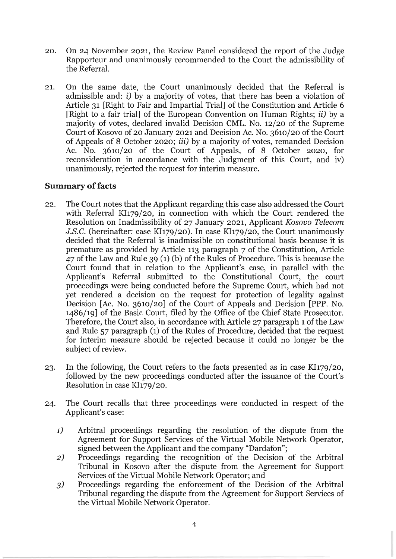- 20. On 24 November 2021, the Review Panel considered the report of the Judge Rapporteur and unanimously recommended to the Court the admissibility of the Referral.
- 21. On the same date, the Court unanimously decided that the Referral is admissible and: i) by a majority of votes, that there has been a violation of Article 31 [Right to Fair and Impartial Trial] of the Constitution and Article 6 [Right to a fair trial] of the European Convention on Human Rights; ii) by a majority of votes, declared invalid Decision CML. No. 12/20 of the Supreme Court of Kosovo of 20 January 2021 and Decision Ac. No. 3610/20 of the Court of Appeals of 8 October 2020; iii) by a majority of votes, remanded Decision Ac. No.  $3610/20$  of the Court of Appeals, of 8 October 2020, for reconsideration in accordance with the Judgment of this Court, and iv) unanimously, rejected the request for interim measure.

## **Summary** of facts

- 22. The Court notes that the Applicant regarding this case also addressed the Court with Referral KI179/20, in connection with which the Court rendered the Resolution on Inadmissibility of 27 January 2021, Applicant *Kosovo Telecom*  J.S.C. (hereinafter: case KI179/20). In case KI179/20, the Court unanimously decided that the Referral is inadmissible on constitutional basis because it is premature as provided by Article 113 paragraph 7 of the Constitution, Article 47 of the Law and Rule 39 (1) (b) of the Rules of Procedure. This is because the Court found that in relation to the Applicant's case, in parallel with the Applicant's Referral submitted to the Constitutional Court, the court proceedings were being conducted before the Supreme Court, which had not yet rendered a decision on the request for protection of legality against Decision [Ac. No. 3610/20] of the Court of Appeals and Decision [PPP. No. 1486/19] of the Basic Court, filed by the Office of the Chief State Prosecutor. Therefore, the Court also, in accordance with Article 27 paragraph 1 of the Law and Rule 57 paragraph (1) of the Rules of Procedure, decided that the request for interim measure should be rejected because it could no longer be the subject of review.
- 23. In the following, the Court refers to the facts presented as in case KI179/20, followed by the new proceedings conducted after the issuance of the Court's Resolution in case KI179/20.
- 24. The Court recalls that three proceedings were conducted in respect of the Applicant's case:
	- 1) Arbitral proceedings regarding the resolution of the dispute from the Agreement for Support Services of the Virtual Mobile Network Operator, signed between the Applicant and the company "Dardafon";
	- 2) Proceedings regarding the recognition of the Decision of the Arbitral Tribunal in Kosovo after the dispute from the Agreement for Support Services of the Virtual Mobile Network Operator; and
	- 3) Proceedings regarding the enforcement of the Decision of the Arbitral Tribunal regarding the dispute from the Agreement for Support Services of the Virtual Mobile Network Operator.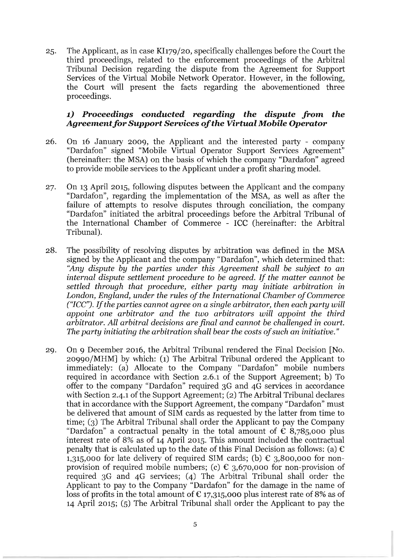25. The Applicant, as in case KI179/20, specifically challenges before the Court the third proceedings, related to the enforcement proceedings of the Arbitral Tribunal Decision regarding the dispute from the Agreement for Support Services of the Virtual Mobile Network Operator. However, in the following, the Court will present the facts regarding the abovementioned three proceedings.

## **1)** *Proceedings conducted regarding the dispute from the Agreementfor Support Services of the Virtual Mobile Operator*

- 26. On 16 January 2009, the Applicant and the interested party company "Dardafon" signed "Mobile Virtual Operator Support Services Agreement" (hereinafter: the MSA) on the basis of which the company "Dardafon" agreed to provide mobile services to the Applicant under a profit sharing model.
- 27. On 13 April 2015, following disputes between the Applicant and the company "Dardafon", regarding the implementation of the MSA, as well as after the failure of attempts to resolve disputes through conciliation, the company "Dardafon" initiated the arbitral proceedings before the Arbitral Tribunal of the International Chamber of Commerce - ICC (hereinafter: the Arbitral Tribunal).
- 28. The possibility of resolving disputes by arbitration was defined in the MSA signed by the Applicant and the company "Dardafon", which determined that: *"Any dispute by the parties under this Agreement shall* be *subject to an internal dispute settlement procedure to* be *agreed. If the matter cannot* be *settled through that procedure, either party may initiate arbitration* in *London, England,* under *the rules of the International Chamber of* Commerce *("ICC"). If the parties cannot* agree on *a single arbitrator, then each party will appoint* one *arbitrator and the two arbitrators will appoint the third arbitrator. All arbitral* decisions are *final and cannot* be *challenged* in *court. The party initiating the arbitration shall bear the costs of such an initiative. "*
- 29. On 9 December 2016, the Arbitral Tribunal rendered the Final Decision [No. 20990/MHM] by which: (1) The Arbitral Tribunal ordered the Applicant to immediately: (a) Allocate to the Company "Dardafon" mobile numbers required in accordance with Section 2.6.1 of the Support Agreement; b) To offer to the company "Dardafon" required 3G and 4G services in accordance with Section 2.4.1 of the Support Agreement; (2) The Arbitral Tribunal declares that in accordance with the Support Agreement, the company "Dardafon" must be delivered that amount of SIM cards as requested by the latter from time to time; (3) The Arbitral Tribunal shall order the Applicant to pay the Company "Dardafon" a contractual penalty in the total amount of  $\epsilon$  8,785,000 plus interest rate of 8% as of 14 April 2015. This amount included the contractual penalty that is calculated up to the date of this Final Decision as follows: (a)  $\epsilon$ 1,315,000 for late delivery of required SIM cards; (b)  $\epsilon$  3,800,000 for nonprovision of required mobile numbers; (c)  $\epsilon$  3,670,000 for non-provision of required 3G and 4G services; (4) The Arbitral Tribunal shall order the Applicant to pay to the Company "Dardafon" for the damage in the name of loss of profits in the total amount of  $\epsilon$  17,315,000 plus interest rate of 8% as of 14 April 2015; (5) The Arbitral Tribunal shall order the Applicant to pay the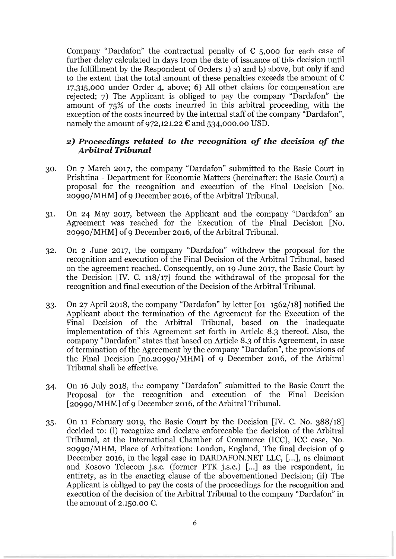Company "Dardafon" the contractual penalty of  $\epsilon$  5,000 for each case of further delay calculated in days from the date of issuance of this decision until the fulfillment by the Respondent of Orders 1) a) and b) above, but only if and to the extent that the total amount of these penalties exceeds the amount of  $\epsilon$ 17,315,000 under Order 4, above; 6) All other claims for compensation are rejected; 7) The Applicant is obliged to pay the company "Dardafon" the amount of 75% of the costs incurred in this arbitral proceeding, with the exception of the costs incurred by the internal staff of the company "Dardafon", namely the amount of 972,121.22  $\epsilon$  and 534,000.00 USD.

## *2) Proceedings related to the recognition of the decision of the Arbitral Tribunal*

- 30. On 7 March 2017, the company "Dardafon" submitted to the Basic Court in Prishtina - Department for Economic Matters (hereinafter: the Basic Court) a proposal for the recognition and execution of the Final Decision [No. 20990/MHM] of 9 December 2016, of the Arbitral Tribunal.
- 31. On 24 May 2017, between the Applicant and the company "Dardafon" an Agreement was reached for the Execution of the Final Decision [No. 20990/MHM] of 9 December 2016, of the Arbitral Tribunal.
- 32. On 2 June 2017, the company "Dardafon" withdrew the proposal for the recognition and execution of the Final Decision of the Arbitral Tribunal, based on the agreement reached. Consequently, on 19 June 2017, the Basic Court by the Decision [IV. C. 118/17] found the withdrawal of the proposal for the recognition and final execution of the Decision of the Arbitral Tribunal.
- 33. On 27 April 2018, the company "Dardafon" by letter [01-1562/18] notified the Applicant about the termination of the Agreement for the Execution of the Final Decision of the Arbitral Tribunal, based on the inadequate implementation of this Agreement set forth in Article 8.3 thereof. Also, the company "Dardafon" states that based on Article 8.3 of this Agreement, in case of termination of the Agreement by the company "Dardafon", the provisions of the Final Decision [no.20990/MHM] of 9 December 2016, of the Arbitral Tribunal shall be effective.
- 34. On 16 July 2018, the company "Dardafon" submitted to the Basic Court the Proposal for the recognition and execution of the Final Decision [20990/MHM] of 9 December 2016, of the Arbitral Tribunal.
- 35. On 11 February 2019, the Basic Court by the Decision [IV. C. No. 388/18] decided to: (i) recognize and declare enforceable the decision of the Arbitral Tribunal, at the International Chamber of Commerce (ICC), ICC case, No. 20990/MHM, Place of Arbitration: London, England, The final decision of 9 December 2016, in the legal case in DARDAFON.NET LLC, [...], as claimant and Kosovo Telecom j.s.c. (former PTK j.s.c.) [...] as the respondent, in entirety, as in the enacting clause of the abovementioned Decision; (ii) The Applicant is obliged to pay the costs of the proceedings for the recognition and execution of the decision of the Arbitral Tribunal to the company "Dardafon" in the amount of 2.150.00  $\epsilon$ .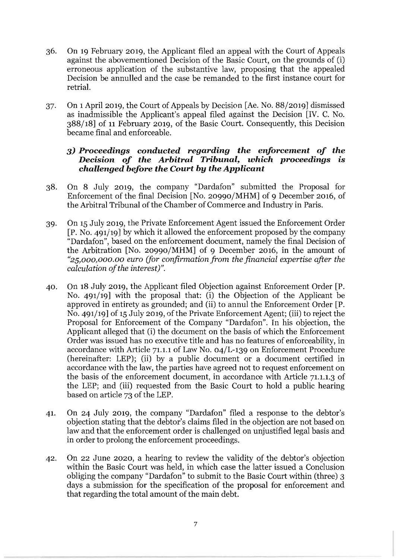- 36. On 19 February 2019, the Applicant filed an appeal with the Court of Appeals against the abovementioned Decision of the Basic Court, on the grounds of (i) erroneous application of the substantive law, proposing that the appealed Decision be annulled and the case be remanded to the first instance court for retrial.
- 37. On 1 April 2019, the Court of Appeals by Decision [Ae. No. 88/2019] dismissed as inadmissible the Applicant's appeal filed against the Decision [IV. C. No. 388/18] of 11 February 2019, of the Basic Court. Consequently, this Decision became final and enforceable.

## *3) Proceedings conducted regarding the enforcement of the Decision of the Arbitral Tribunal, which proceedings is challenged before the Court by the Applicant*

- 38. On 8 July 2019, the company "Dardafon" submitted the Proposal for Enforcement of the final Decision [No. 20990/MHM] of 9 December 2016, of the Arbitral Tribunal of the Chamber of Commerce and Industry in Paris.
- 39. On 15 July 2019, the Private Enforcement Agent issued the Enforcement Order  $[P. No. 491/19]$  by which it allowed the enforcement proposed by the company "Dardafon", based on the enforcement document, namely the final Decision of the Arbitration [No. 20990/MHM] of 9 December 2016, in the amount of *"25,000,000.00 euro (for confirmation from the financial expertise after the calculation of the interest)".*
- 40. On 18 July 2019, the Applicant filed Objection against Enforcement Order [P. No. 491/19] with the proposal that: (i) the Objection of the Applicant be approved in entirety as grounded; and (ii) to annul the Enforcement Order [P. No. 491/19] of 15 July 2019, of the Private Enforcement Agent; (iii) to reject the Proposal for Enforcement of the Company "Dardafon". In his objection, the Applicant alleged that (i) the document on the basis of which the Enforcement Order was issued has no executive title and has no features of enforceability, in accordance with Article 71.1.1 of Law No. 04/L-139 on Enforcement Procedure (hereinafter: LEP); (ii) by a public document or a document certified in accordance with the law, the parties have agreed not to request enforcement on the basis of the enforcement document, in accordance with Article 71.1.1.3 of the LEP; and (iii) requested from the Basic Court to hold a public hearing based on article 73 of the LEP.
- 41. On 24 July 2019, the company "Dardafon" filed a response to the debtor's objection stating that the debtor's claims filed in the objection are not based on law and that the enforcement order is challenged on unjustified legal basis and in order to prolong the enforcement proceedings.
- 42. On 22 June 2020, a hearing to review the validity of the debtor's objection within the Basic Court was held, in which case the latter issued a Conclusion obliging the company "Dardafon" to submit to the Basic Court within (three) 3 days a submission for the specification of the proposal for enforcement and that regarding the total amount of the main debt.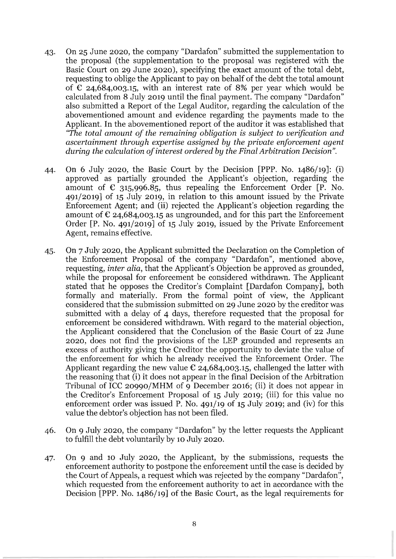- 43. On 25 June 2020, the company "Dardafon" submitted the supplementation to the proposal (the supplementation to the proposal was registered with the Basic Court on 29 June 2020), specifying the exact amount of the total debt, requesting to oblige the Applicant to pay on behalf of the debt the total amount of  $\epsilon$  24,684,003.15, with an interest rate of 8% per year which would be calculated from 8 July 2019 until the final payment. The company "Dardafon" also submitted a Report of the Legal Auditor, regarding the calculation of the abovementioned amount and evidence regarding the payments made to the Applicant. In the abovementioned report of the auditor it was established that *"The total amount of the remaining obligation* is *subject to verification and ascertainment through expertise assigned by the private enforcement agent during the calculation of interest ordered by the Final Arbitration Decision".*
- 44. On 6 July 2020, the Basic Court by the Decision [PPP. No. 1486/19]: (i) approved as partially grounded the Applicant's objection, regarding the amount of  $\epsilon$  315,996.85, thus repealing the Enforcement Order [P. No. 491/2019] of 15 July 2019, in relation to this amount issued by the Private Enforcement Agent; and (ii) rejected the Applicant's objection regarding the amount of  $\epsilon$  24,684,003.15 as ungrounded, and for this part the Enforcement Order  $[P. No. 491/2019]$  of 15 July 2019, issued by the Private Enforcement Agent, remains effective.
- 45. On 7 July 2020, the Applicant submitted the Declaration on the Completion of the Enforcement Proposal of the company "Dardafon", mentioned above, requesting, *inter alia,* that the Applicant's Objection be approved as grounded, while the proposal for enforcement be considered withdrawn. The Applicant stated that he opposes the Creditor's Complaint [Dardafon Company], both formally and materially. From the formal point of view, the Applicant considered that the submission submitted on 29 June 2020 by the creditor was submitted with a delay of 4 days, therefore requested that the proposal for enforcement be considered withdrawn. With regard to the material objection, the Applicant considered that the Conclusion of the Basic Court of 22 June 2020, does not find the provisions of the LEP grounded and represents an excess of authority giving the Creditor the opportunity to deviate the value of the enforcement for which he already received the Enforcement Order. The Applicant regarding the new value  $\epsilon$  24,684,003.15, challenged the latter with the reasoning that (i) it does not appear in the final Decision of the Arbitration Tribunal of ICC 20990/MHM of 9 December 2016; (ii) it does not appear in the Creditor's Enforcement Proposal of 15 July 2019; (iii) for this value no enforcement order was issued P. No. 491/19 of 15 July 2019; and (iv) for this value the debtor's objection has not been filed.
- 46. On 9 July 2020, the company "Dardafon" by the letter requests the Applicant to fulfill the debt voluntarily by 10 July 2020.
- 47. On 9 and 10 July 2020, the Applicant, by the submissions, requests the enforcement authority to postpone the enforcement until the case is decided by the Court of Appeals, a request which was rejected by the company "Dardafon~', which requested from the enforcement authority to act in accordance with the Decision [PPP. No. 1486/19] of the Basic Court, as the legal requirements for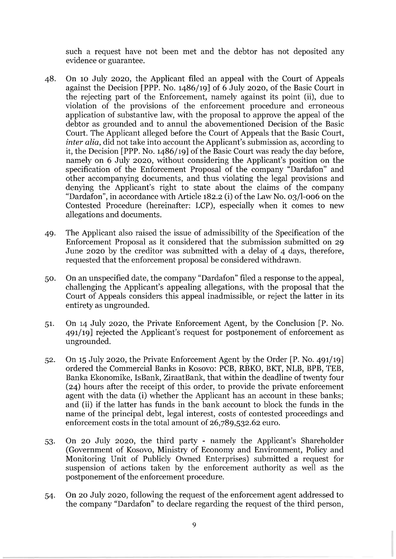such a request have not been met and the debtor has not deposited any evidence or guarantee.

- 48. On 10 July 2020, the Applicant filed an appeal with the Court of Appeals against the Decision [PPP. No. 1486/19] of 6 July 2020, of the Basic Court in the rejecting part of the Enforcement, namely against its point (ii), due to violation of the provisions of the enforcement procedure and erroneous application of substantive law, with the proposal to approve the appeal of the debtor as grounded and to annul the abovementioned Decision of the Basic Court. The Applicant alleged before the Court of Appeals that the Basic Court, *inter alia,* did not take into account the Applicant's submission as, according to it, the Decision [PPP. No. 1486/19] of the Basic Court was ready the day before, namely on 6 July 2020, without considering the Applicant's position on the specification of the Enforcement Proposal of the company "Dardafon" and other accompanying documents, and thus violating the legal provisions and denying the Applicant's right to state about the claims of the company "Dardafon", in accordance with Article 182.2 (i) of the Law No. 03/1-006 on the Contested Procedure (hereinafter: LCP), especially when it comes to new allegations and documents.
- 49. The Applicant also raised the issue of admissibility of the Specification of the Enforcement Proposal as it considered that the submission submitted on 29 June 2020 by the creditor was submitted with a delay of 4 days, therefore, requested that the enforcement proposal be considered withdrawn.
- 50. On an unspecified date, the company "Dardafon" filed a response to the appeal, challenging the Applicant's appealing allegations, with the proposal that the Court of Appeals considers this appeal inadmissible, or reject the latter in its entirety as ungrounded.
- 51. On 14 July 2020, the Private Enforcement Agent, by the Conclusion  $[P. No.$ 491/19] rejected the Applicant's request for postponement of enforcement as ungrounded.
- 52. On 15 July 2020, the Private Enforcement Agent by the Order  $[P. No. 491/19]$ ordered the Commercial Banks in Kosovo: PCB, RBKO, BKT, NLB, BPB, TEB, Banka Ekonomike, IsBank, ZiraatBank, that within the deadline of twenty four (24) hours after the receipt of this order, to provide the private enforcement agent with the data (i) whether the Applicant has an account in these banks; and (ii) if the latter has funds in the bank account to block the funds in the name of the principal debt, legal interest, costs of contested proceedings and enforcement costs in the total amount of 26,789,532.62 euro.
- 53. On 20 July 2020, the third party namely the Applicant's Shareholder (Government of Kosovo, Ministry of Economy and Environment, Policy and Monitoring Unit of Publicly Owned Enterprises) submitted a request for suspension of actions taken by the enforcement authority as well as the postponement of the enforcement procedure.
- 54. On 20 July 2020, following the request of the enforcement agent addressed to the company "Dardafon" to declare regarding the request of the third person,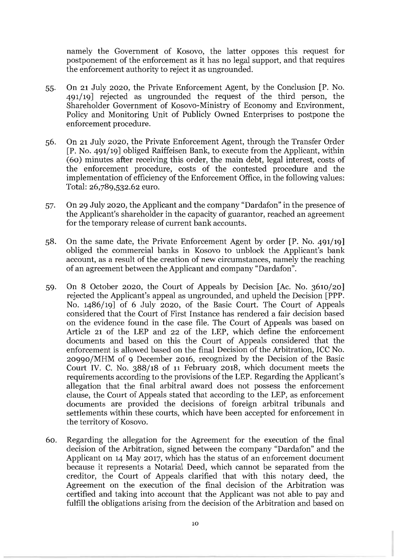namely the Government of Kosovo, the latter opposes this request for postponement of the enforcement as it has no legal support, and that requires the enforcement authority to reject it as ungrounded.

- 55. On 21 July 2020, the Private Enforcement Agent, by the Conclusion [P. No. 491/19] rejected as ungrounded the request of the third person, the Shareholder Government of Kosovo-Ministry of Economy and Environment, Policy and Monitoring Unit of Publicly Owned Enterprises to postpone the enforcement procedure.
- 56. On 21 July 2020, the Private Enforcement Agent, through the Transfer Order  $[P. No. 491/19]$  obliged Raiffeisen Bank, to execute from the Applicant, within (6o) minutes after receiving this order, the main debt, legal interest, costs of the enforcement procedure, costs of the contested procedure and the implementation of efficiency of the Enforcement Office, in the following values: Total: 26,789,532.62 euro.
- 57. On 29 July 2020, the Applicant and the company "Dardafon" in the presence of the Applicant's shareholder in the capacity of guarantor, reached an agreement for the temporary release of current bank accounts.
- 58. On the same date, the Private Enforcement Agent by order  $[P. No. 491/19]$ obliged the commercial banks in Kosovo to unblock the Applicant's bank account, as a result of the creation of new circumstances, namely the reaching of an agreement between the Applicant and company "Dardafon".
- 59. On 8 October 2020, the Court of Appeals by Decision [Ac. No. 3610/20] rejected the Applicant's appeal as ungrounded, and upheld the Decision [PPP. No. 1486/19] of 6 July 2020, of the Basic Court. The Court of Appeals considered that the Court of First Instance has rendered a fair decision based on the evidence found in the case file. The Court of Appeals was based on Article 21 of the LEP and 22 of the LEP, which define the enforcement documents and based on this the Court of Appeals considered that the enforcement is allowed based on the final Decision of the Arbitration, ICC No. 20990/MHM of 9 December 2016, recognized by the Decision of the Basic Court IV. C. No. 388/18 of 11 February 2018, which document meets the requirements according to the provisions of the LEP. Regarding the Applicant's allegation that the final arbitral award does not possess the enforcement clause, the Court of Appeals stated that according to the LEP, as enforcement documents are provided the decisions of foreign arbitral tribunals and settlements within these courts, which have been accepted for enforcement in the territory of Kosovo.
- 60. Regarding the allegation for the Agreement for the execution of the final decision of the Arbitration, signed between the company "Dardafon" and the Applicant on 14 May 2017, which has the status of an enforcement document because it represents a Notarial Deed, which cannot be separated from the creditor, the Court of Appeals clarified that with this notary deed, the Agreement on the execution of the final decision of the Arbitration was certified and taking into account that the Applicant was not able to pay and fulfill the obligations arising from the decision of the Arbitration and based on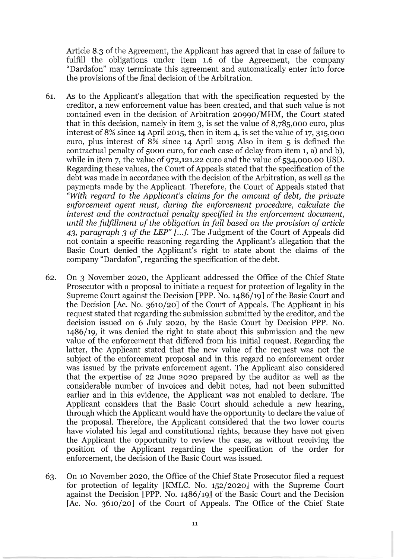Article 8.3 of the Agreement, the Applicant has agreed that in case of failure to fulfill the obligations under item 1.6 of the Agreement, the company "Dardafon" may terminate this agreement and automatically enter into force the provisions of the final decision of the Arbitration.

- 61. As to the Applicant's allegation that with the specification requested by the creditor, a new enforcement value has been created, and that such value is not contained even in the decision of Arbitration 20990/MHM, the Court stated that in this decision, namely in item 3, is set the value of 8,785,000 euro, plus interest of 8% since 14 April 2015, then in item 4, is set the value of 17, 315,000 euro, plus interest of 8% since 14 April 2015 Also in item 5 is defined the contractual penalty of 5000 euro, for each case of delay from item 1, a) and b), while in item 7, the value of 972,121.22 euro and the value of 534,000.00 USD. Regarding these values, the Court of Appeals stated that the specification of the debt was made in accordance with the decision of the Arbitration, as well as the payments made by the Applicant. Therefore, the Court of Appeals stated that *"With regard to the Applicant's claims for the amount of debt, the private enforcement agent must, during the enforcement procedure, calculate the interest and the contractual penalty specified* in *the enforcement document, until the fulfillment of the obligation in full based on the provision of article 43, paragraph* 3 *of the LEP" [ ...* J. The Judgment of the Court of Appeals did not contain a specific reasoning regarding the Applicant's allegation that the Basic Court denied the Applicant's right to state about the claims of the company "Dardafon", regarding the specification of the debt.
- 62. On 3 November 2020, the Applicant addressed the Office of the Chief State Prosecutor with a proposal to initiate a request for protection of legality in the Supreme Court against the Decision [PPP. No. 1486/19] of the Basic Court and the Decision [Ac. No. 3610/20] of the Court of Appeals. The Applicant in his request stated that regarding the submission submitted by the creditor, and the decision issued on 6 July 2020, by the Basic Court by Decision PPP. No. 1486/19, it was denied the right to state about this submission and the new value of the enforcement that differed from his initial request. Regarding the latter, the Applicant stated that the new value of the request was not the subject of the enforcement proposal and in this regard no enforcement order was issued by the private enforcement agent. The Applicant also considered that the expertise of 22 June 2020 prepared by the auditor as well as the considerable number of invoices and debit notes, had not been submitted earlier and in this evidence, the Applicant was not enabled to declare. The Applicant considers that the Basic Court should schedule a new hearing, through which the Applicant would have the opportunity to declare the value of the proposal. Therefore, the Applicant considered that the two lower courts have violated his legal and constitutional rights, because they have not given the Applicant the opportunity to review the case, as without receiving the position of the Applicant regarding the specification of the order for enforcement, the decision of the Basic Court was issued.
- 63. On 10 November 2020, the Office of the Chief State Prosecutor filed a request for protection of legality [KMLC. No. 152/2020] with the Supreme Court against the Decision [PPP. No. 1486/19] of the Basic Court and the Decision [Ac. No. 3610/20] of the Court of Appeals. The Office of the Chief State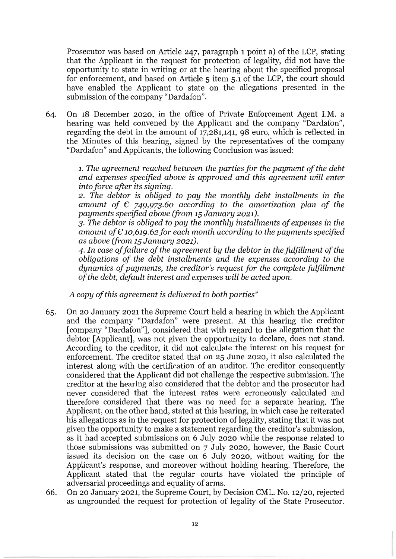Prosecutor was based on Article 247, paragraph 1 point a) of the LCP, stating that the Applicant in the request for protection of legality, did not have the opportunity to state in writing or at the hearing about the specified proposal for enforcement, and based on Article 5 item 5.1 of the LCP, the court should have enabled the Applicant to state on the allegations presented in the submission of the company "Dardafon".

64. On 18 December 2020, in the office of Private Enforcement Agent I.M. a hearing was held convened by the Applicant and the company "Dardafon", regarding the debt in the amount of 17,281,141, 98 euro, which is reflected in the Minutes of this hearing, signed by the representatives of the company "Dardafon" and Applicants, the following Conclusion was issued:

> 1. *The agreement reached between the parties for the payment of the debt and expenses specified above is approved and this agreement will enter into force after its signing.*

> *2. The debtor* is *obliged to pay the monthly debt installments* in *the amount of*  $\epsilon$  *749,973.60 according to the amortization plan of the payments specified above (from* 15 *January 2021).*

> *3. The debtor* is *obliged to pay the monthly installments of expenses* in *the amount of*  $\epsilon$  *10,619.62 for each month according to the payments specified* as *above (from* 15 *January 2021).*

> *4. In case of failure of the agreement by the debtor* in *the fulfillment of the obligations of the debt installments and the expenses according to the dynamics of payments, the creditor's request for the complete fulfillment of the debt, default interest and expenses will be acted upon.*

*A copy of this agreement* is *delivered to both parties"* 

- 65. On 20 January 2021 the Supreme Court held a hearing in which the Applicant and the company "Dardafon" were present. At this hearing the creditor [company "Dardafon"], considered that with regard to the allegation that the debtor [Applicant], was not given the opportunity to declare, does not stand. According to the creditor, it did not calculate the interest on his request for enforcement. The creditor stated that on 25 June 2020, it also calculated the interest along with the certification of an auditor. The creditor consequently considered that the Applicant did not challenge the respective submission. The creditor at the hearing also considered that the debtor and the prosecutor had never considered that the interest rates were erroneously calculated and therefore considered that there was no need for a separate hearing. The Applicant, on the other hand, stated at this hearing, in which case he reiterated his allegations as in the request for protection of legality, stating that it was not given the opportunity to make a statement regarding the creditor's submission, as it had accepted submissions on 6 July 2020 while the response related to those submissions was submitted on 7 July 2020, however, the Basic Court issued its decision on the case on 6 July 2020, without waiting for the Applicant's response, and moreover without holding hearing. Therefore, the Applicant stated that the regular courts have violated the principle of adversarial proceedings and equality of arms.
- 66. On 20 January 2021, the Supreme Court, by Decision CML. No. 12/20, rejected as ungrounded the request for protection of legality of the State Prosecutor.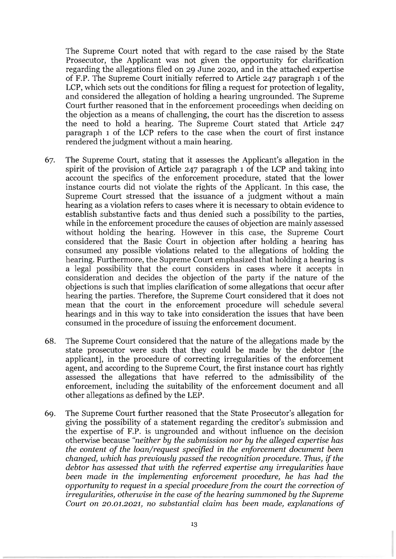The Supreme Court noted that with regard to the case raised by the State Prosecutor, the Applicant was not given the opportunity for clarification regarding the allegations filed on 29 June 2020, and in the attached expertise of F.P. The Supreme Court initially referred to Article 247 paragraph 1 of the LCP, which sets out the conditions for filing a request for protection of legality, and considered the allegation of holding a hearing ungrounded. The Supreme Court further reasoned that in the enforcement proceedings when deciding on the objection as a means of challenging, the court has the discretion to assess the need to hold a hearing. The Supreme Court stated that Article 247 paragraph 1 of the LCP refers to the case when the court of first instance rendered the judgment without a main hearing.

- 67. The Supreme Court, stating that it assesses the Applicant's allegation in the spirit of the provision of Article 247 paragraph 1 of the LCP and taking into account the specifics of the enforcement procedure, stated that the lower instance courts did not violate the rights of the Applicant. In this case, the Supreme Court stressed that the issuance of a judgment without a main hearing as a violation refers to cases where it is necessary to obtain evidence to establish substantive facts and thus denied such a possibility to the parties, while in the enforcement procedure the causes of objection are mainly assessed without holding the hearing. However in this case, the Supreme Court considered that the Basic Court in objection after holding a hearing has consumed any possible violations related to the allegations of holding the hearing. Furthermore, the Supreme Court emphasized that holding a hearing is a legal possibility that the court considers in cases where it accepts in consideration and decides the objection of the party if the nature of the objections is such that implies clarification of some allegations that occur after hearing the parties. Therefore, the Supreme Court considered that it does not mean that the court in the enforcement procedure will schedule several hearings and in this way to take into consideration the issues that have been consumed in the procedure of issuing the enforcement document.
- 68. The Supreme Court considered that the nature of the allegations made by the state prosecutor were such that they could be made by the debtor [the applicant], in the procedure of correcting irregularities of the enforcement agent, and according to the Supreme Court, the first instance court has rightly assessed the allegations that have referred to the admissibility of the enforcement, including the suitability of the enforcement document and all other allegations as defined by the LEP.
- 69. The Supreme Court further reasoned that the State Prosecutor's allegation for giving the possibility of a statement regarding the creditor's submission and the expertise of F.P. is ungrounded and without influence on the decision otherwise because *"neither by the submission nor by the alleged expertise has the content of the loan/request specified* in *the enforcement document been changed, which has previously passed the recognition procedure. Thus,* if *the debtor has assessed that with the referred expertise any irregularities have been made* in *the implementing enforcement procedure, he has had the opportunity* to *request* in a *special procedure from the court the correction of irregularities, otherwise* in *the case of the hearing summoned by the Supreme Court* on 20.01.2021, no *substantial claim has been made, explanations of*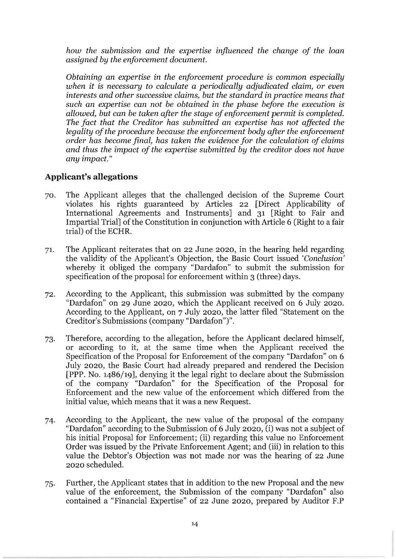*how the submission and the expertise influenced the change of the loan assigned by the enforcement document.* 

*Obtaining* an *expertise* in *the enforcement procedure* is *common especially when it* is *necessary to calculate* a *periodically adjudicated claim,* or *even interests and other successive claims, but the standard* in *practice means that such* an *expertise can not be obtained* in *the phase before the execution* is *allowed, but can be taken after the stage of enforcement permit* is *completed. The fact that the Creditor has submitted* an *expertise has not affected the legality of the procedure because the enforcement body after the enforcement order has become final, has taken the evidence for the calculation of claims and thus the impact of the expertise submitted by the creditor does not have any impact."* 

## **Applicant's allegations**

- 70. The Applicant alleges that the challenged decision of the Supreme Court violates his rights guaranteed by Articles 22 [Direct Applicability of International Agreements and Instruments] and 31 [Right to Fair and Impartial Trial] of the Constitution in conjunction with Article 6 (Right to a fair trial) of the ECHR.
- 71. The Applicant reiterates that on 22 June 2020, in the hearing held regarding the validity of the Applicant's Objection, the Basic Court issued *'Conclusion'*  whereby it obliged the company "Dardafon" to submit the submission for specification of the proposal for enforcement within 3 (three) days.
- 72. According to the Applicant, this submission was submitted by the company "Dardafon" on 29 June 2020, which the Applicant received on 6 July 2020. According to the Applicant, on 7 July 2020, the latter filed "Statement on the Creditor's Submissions (company "Dardafon")".
- 73. Therefore, according to the allegation, before the Applicant declared himself, or according to it, at the same time when the Applicant received the Specification of the Proposal for Enforcement of the company "Dardafon" on 6 July 2020, the Basic Court had already prepared and rendered the Decision [PPP. No. 1486/19], denying it the legal right to declare about the Submission of the company "Dardafon" for the Specification of the Proposal for Enforcement and the new value of the enforcement which differed from the initial value, which means that it was a new Request.
- 74. According to the Applicant, the new value of the proposal of the company "Dardafon" according to the Submission of 6 July 2020, (i) was not a subject of his initial Proposal for Enforcement; (ii) regarding this value no Enforcement Order was issued by the Private Enforcement Agent; and (iii) in relation to this value the Debtor's Objection was not made nor was the hearing of 22 June 2020 scheduled.
- 75. Further, the Applicant states that in addition to the new Proposal and the new value of the enforcement, the Submission of the company "Dardafon" also contained a "Financial Expertise" of 22 June 2020, prepared by Auditor F.P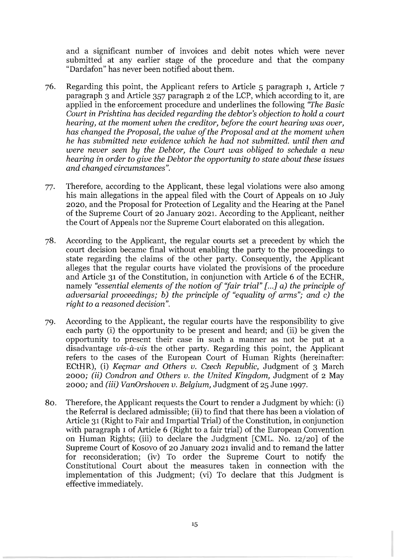and a significant number of invoices and debit notes which were never submitted at any earlier stage of the procedure and that the company "Dardafon" has never been notified about them.

- 76. Regarding this point, the Applicant refers to Article 5 paragraph 1, Article 7 paragraph 3 and Article 357 paragraph 2 of the LCP, which according to it, are applied in the enforcement procedure and underlines the following *"The Basic Court* in *Prishtina has decided regarding the debtor's objection to hold* a *court hearing, at the moment when the creditor, before the court hearing was over, has changed the Proposal, the value of the Proposal and at the moment when he has submitted new evidence which he had not submitted. until then and were never seen by the Debtor, the Court was obliged to schedule* a *new hearing* in *order to give the Debtor the opportunity to state about these issues and changed circumstances".*
- 77. Therefore, according to the Applicant, these legal violations were also among his main allegations in the appeal filed with the Court of Appeals on 10 July 2020, and the Proposal for Protection of Legality and the Hearing at the Panel of the Supreme Court of 20 January 2021. According to the Applicant, neither the Court of Appeals nor the Supreme Court elaborated on this allegation.
- 78. According to the Applicant, the regular courts set a precedent by which the court decision became final without enabling the party to the proceedings to state regarding the claims of the other party. Consequently, the Applicant alleges that the regular courts have violated the provisions of the procedure and Article 31 of the Constitution, in conjunction with Article 6 of the ECHR, namely "essential elements of the notion of "fair trial" [...] a) the principle of *adversarial proceedings; b) the principle of "equality of arms"; and* c) *the right to* a *reasoned* decision".
- 79. According to the Applicant, the regular courts have the responsibility to give each party (i) the opportunity to be present and heard; and (ii) be given the opportunity to present their case in such a manner as not be put at a disadvantage *vis-a-vis* the other party. Regarding this point, the Applicant refers to the cases of the European Court of Human Rights (hereinafter: ECtHR), (i) *Keçmar and Others v. Czech Republic*, Judgment of 3 March *2000; (ii) Condron and Others v. the United Kingdom,* Judgment of 2 May 2000; and *(iii) VanOrshoven v. Belgium,* Judgment of 25 June 1997.
- 80. Therefore, the Applicant requests the Court to render a Judgment by which: (i) the Referral is declared admissible; (ii) to find that there has been a violation of Article 31 (Right to Fair and Impartial Trial) of the Constitution, in conjunction with paragraph 1 of Article 6 (Right to a fair trial) of the European Convention on Human Rights; (iii) to declare the Judgment [CML. No. 12/20] of the Supreme Court of Kosovo of 20 January 2021 invalid and to remand the latter for reconsideration; (iv) To order the Supreme Court to notify the Constitutional Court about the measures taken in connection with the implementation of this Judgment; (vi) To declare that this Judgment is effective immediately.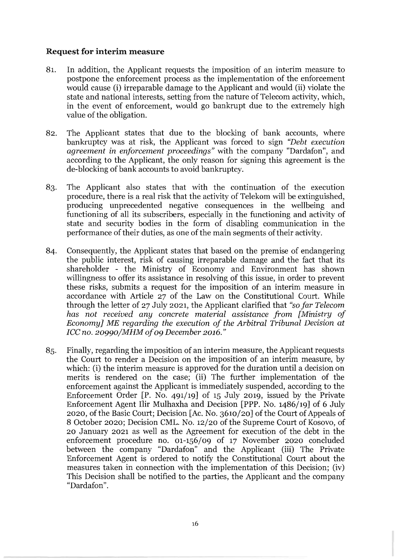## **Request for interim measure**

- 81. In addition, the Applicant requests the imposition of an interim measure to postpone the enforcement process as the implementation of the enforcement would cause (i) irreparable damage to the Applicant and would (ii) violate the state and national interests, setting from the nature of Telecom activity, which, in the event of enforcement, would go bankrupt due to the extremely high value of the obligation.
- 82. The Applicant states that due to the blocking of bank accounts, where bankruptcy was at risk, the Applicant was forced to sign *"Debt execution agreement* in *enforcement proceedings"* with the company "Dardafon", and according to the Applicant, the only reason for signing this agreement is the de-blocking of bank accounts to avoid bankruptcy.
- 83. The Applicant also states that with the continuation of the execution procedure, there is a real risk that the activity of Telekom will be extinguished, producing unprecedented negative consequences in the wellbeing and functioning of all its subscribers, especially in the functioning and activity of state and security bodies in the form of disabling communication in the performance of their duties, as one of the main segments of their activity.
- 84. Consequently, the Applicant states that based on the premise of endangering the public interest, risk of causing irreparable damage and the fact that its shareholder - the Ministry of Economy and Environment has shown willingness to offer its assistance in resolving of this issue, in order to prevent these risks, submits a request for the imposition of an interim measure in accordance with Article 27 of the Law on the Constitutional Court. While through the letter of 27 July 2021, the Applicant clarified that *"so far Telecom has not received any concrete material assistance from [Ministry of Economy] ME regarding the execution of the Arbitral Tribunal Decision* at *ICC no. 20990/MHM of* 09 *December 2016."*
- 85. Finally, regarding the imposition of an interim measure, the Applicant requests the Court to render a Decision on the imposition of an interim measure, by which: (i) the interim measure is approved for the duration until a decision on merits is rendered on the case; (ii) The further implementation of the enforcement against the Applicant is immediately suspended, according to the Enforcement Order  $[P. No. 491/19]$  of 15 July 2019, issued by the Private Enforcement Agent Ilir Mulhaxha and Decision [PPP. No. 1486/19] of 6 July 2020, of the Basic Court; Decision [Ac. No. 3610/20] of the Court of Appeals of 8 October 2020; Decision CML. No. 12/20 of the Supreme Court of Kosovo, of 20 January 2021 as well as the Agreement for execution of the debt in the enforcement procedure no. 01-156/09 of 17 November 2020 concluded between the company "Dardafon" and the Applicant (iii) The Private Enforcement Agent is ordered to notify the Constitutional Court about the measures taken in connection with the implementation of this Decision; (iv) This Decision shall be notified to the parties, the Applicant and the company "Dardafon".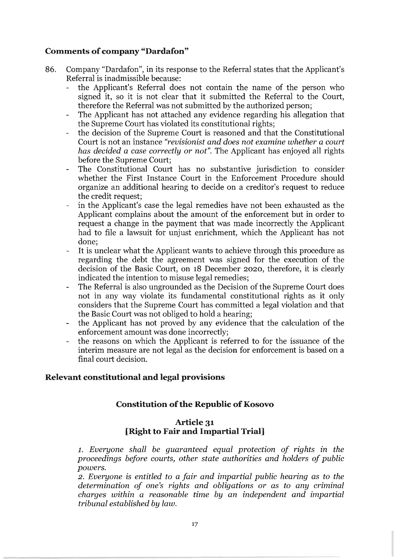## **Comments of company "Dardafon"**

- 86. Company "Dardafon", in its response to the Referral states that the Applicant's Referral is inadmissible because:
	- the Applicant's Referral does not contain the name of the person who signed it, so it is not clear that it submitted the Referral to the Court, therefore the Referral was not submitted by the authorized person;
	- The Applicant has not attached any evidence regarding his allegation that the Supreme Court has violated its constitutional rights;
	- the decision of the Supreme Court is reasoned and that the Constitutional Court is not an instance *"revisionist and does not examine whether* a *court has decided* a *case correctly* or *not".* The Applicant has enjoyed all rights before the Supreme Court;
	- The Constitutional Court has no substantive jurisdiction to consider whether the First Instance Court in the Enforcement Procedure should organize an additional hearing to decide on a creditor's request to reduce the credit request;
	- in the Applicant's case the legal remedies have not been exhausted as the Applicant complains about the amount of the enforcement but in order to request a change in the payment that was made incorrectly the Applicant had to file a lawsuit for unjust enrichment, which the Applicant has not done;
	- It is unclear what the Applicant wants to achieve through this procedure as  $\frac{1}{2}$ regarding the debt the agreement was signed for the execution of the decision of the Basic Court, on 18 December 2020, therefore, it is clearly indicated the intention to misuse legal remedies;
	- The Referral is also ungrounded as the Decision of the Supreme Court does not in any way violate its fundamental constitutional rights as it only considers that the Supreme Court has committed a legal violation and that the Basic Court was not obliged to hold a hearing;
	- the Applicant has not proved by any evidence that the calculation of the enforcement amount was done incorrectly;
	- the reasons on which the Applicant is referred to for the issuance of the interim measure are not legal as the decision for enforcement is based on a final court decision.

## **Relevant constitutional and legal provisions**

## **Constitution of the Republic of Kosovo**

### **Article 31 [Right to Fair and Impartial Trial]**

1. *Everyone shall be guaranteed equal protection of rights in the proceedings before courts, other state authorities and holders of public powers.* 

*2. Everyone* is *entitled to* a *fair and impartial public hearing* as *to the determination of one's rights and obligations* or as to *any criminal charges within* a *reasonable time by an independent and impartial tribunal established by law.*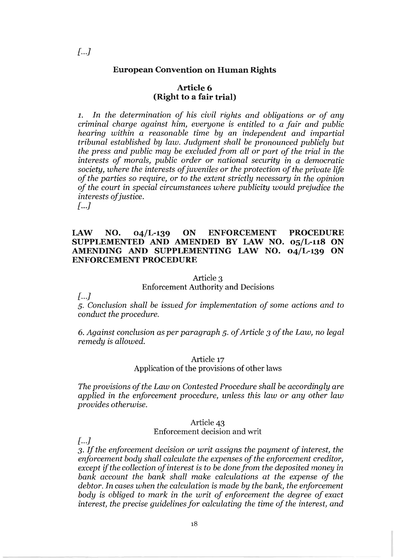### **European Convention on Human Rights**

### Article 6 **(Right to a fair trial)**

1. *In the determination of his civil rights and obligations* or *of any criminal charge against him, everyone* is *entitled to* a *fair and public hearing within* a *reasonable time by* an *independent and impartial tribunal established by law. Judgment shall be pronounced publicly but the press and public may be excluded from all* or *part of the trial* in *the interests of morals, public order* or *national security* in a *democratic society, where the interests of juveniles* or *the protection of the private life of the parties* so *require,* or *to the extent strictly necessary* in *the opinion of the court* in *special circumstances where publicity would prejudice the interests of justice.* 

 $\left[ ... \right]$ 

### **lAW NO. 04/L-139 ON ENFORCEMENT PROCEDURE SUPPLEMENTED AND AMENDED BY lAW NO. 05/L-118 ON AMENDING AND SUPPLEMENTING lAW NO. 04/L-139 ON**  ENFORCEMENT PROCEDURE

### Article 3

Enforcement Authority and Decisions

 $\int ... I$ 

*5. Conclusion shall be issued for implementation of some actions and to conduct the procedure.* 

*6. Against conclusion* as *per paragraph* 5. *of Article* 3 *of the Law,* no *legal remedy* is *allowed.* 

#### Article 17

### Application of the provisions of other laws

*The provisions of the Law* on *Contested Procedure shall be according ly are applied* in *the enforcement procedure, unless this law* or *any other law provides otherwise.* 

#### Article 43 Enforcement decision and writ

 $\lceil ... \rceil$ 

*3. If the enforcement decision* or *writ assigns the payment of interest, the enforcement body shall calculate the expenses of the enforcement creditor, except if the collection of interest* is *to be done from the deposited money* in *bank account the bank shall make calculations at the expense of the debtor. In cases when the calculation* is *made by the bank, the enforcement body* is *obliged to mark* in *the writ of enforcement the degree of exact interest, the precise guidelines for calculating the time of the interest, and*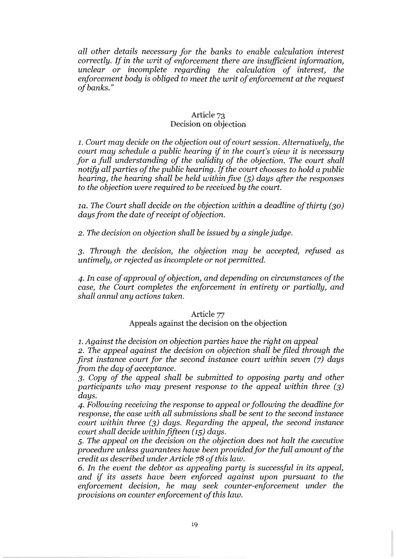*all other details necessary for the banks to enable calculation interest correctly. If in the writ of enforcement there are insufficient information, unclear* or *incomplete regarding the calculation of interest, the enforcement body is obliged to meet the writ of enforcement at the request of banks."* 

### Article 73 Decision on objection

1. *Court may decide* on *the objection out of court session. Alternatively, the court may schedule a public hearing* if *in the court's view it is necessary for a full understanding of the validity of the objection. The court shall notify all parties of the public hearing. If the court chooses to hold a public hearing, the hearing shall be held within five* (5) *days after the responses to the objection were required to be received by the court.* 

*la. The Court shall decide* on *the objection within a deadline of thirty* (30) *days from the date of receipt of objection.* 

2. *The decision* on *objection shall be issued by a singlejudge.* 

*3. Through the decision, the objection may be accepted, refused as untimely,* or *rejected as incomplete* or *not permitted.* 

*4. In case of approval of objection, and depending* on *circumstances of the case, the Court completes the enforcement in entirety* or *partially, and shall annul any actions taken.* 

## Article 77

### Appeals against the decision on the objection

1. *Against the decision* on *objection parties have the right* on *appeal 2. The appeal against the decision* on *objection shall be filed through the first instance court for the second instance court within seven (7) days from the day of acceptance.* 

*3. Copy of the appeal shall be submitted to opposing party and other participants who may present response to the appeal within three (3) days.* 

*4. Following receiving the response to appeal* or *following the deadline for response, the case with all submissions shall be sent to the second instance court within three* (3) *days. Regarding the appeal, the second instance court shall decide withinfifteen* (15) *days.* 

*5. The appeal* on *the decision* on *the objection does not halt the executive procedure unless guarantees have been provided for the full amount of the credit as described under Article* 78 *of this law.* 

*6. In the event the debtor as appealing party is successful in its appeal, and* if *its assets have been enforced against upon pursuant to the enforcement decision, he may seek counter-enforcement under the provisions* on *counter enforcement of this law.*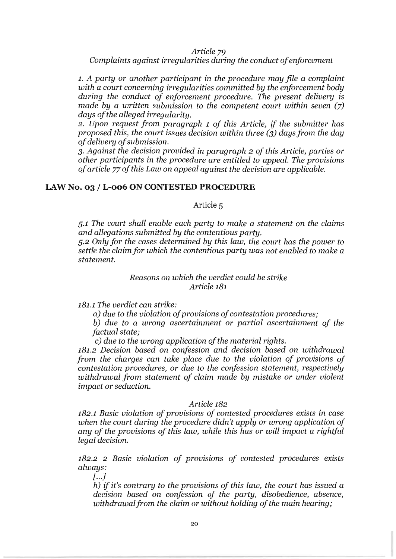*Article 79* 

*Complaints against irregularities during the conduct of enforcement* 

1. *A party* or *another participant* in *the procedure may file* a *complaint with* a *court concerning irregularities committed by the enforcement body during the conduct of enforcement procedure. The present delivery* is *made by* a *written submission to the competent court within seven (7) days of the alleged irregularity.* 

2. *Upon request from paragraph* 1 *of this Article,* if *the submitter has proposed this, the court issues decision within three (3) days from the day of delivery of submission.* 

*3. Against the decision provided in paragraph* 2 *of this Article, parties* or *other participants in the procedure are entitled to appeal. The provisions of article* 77 *of this Law* on *appeal against the decision are applicable.* 

### **LAW No. 03 / L-006 ON CONTESTED PROCEDURE**

Article 5

5.1 *The court shall enable each party to make* a *statement on the claims and allegations submitted by the contentious party.* 

*5.2 Only for the cases determined by this law, the court has the power to settle the claimfor which the contentious party was not enabled to make* a *statement.* 

> *Reasons on which the verdict could be strike Article* 181

181.1 *The verdict can strike:* 

a) *due to the violation of provisions of contestation procedures;* 

*b) due to* a *wrong ascertainment* or *partial ascertainment of the factual state;* 

c) *due to the wrong application of the material rights.* 

181.2 *Decision based on confession and decision based on withdrawal from the charges can take place due to the violation of provisions of contestation procedures,* or *due to the confession statement, respectively withdrawal from statement of claim made by mistake* or *under violent impact* or *seduction.* 

### *Article* 182

182.1 *Basic violation of provisions of contested procedures exists in case when the court during the procedure didn't apply* or *wrong application of any of the provisions of this law, while this has* or *will impact* a *rightful legal decision.* 

182.2 2 *Basic violation of provisions of contested procedures exists always:* 

[ ... J

*h)* if *it's contrary to the provisions of this law, the court has issued* a *decision based on confession of the party, disobedience, absence, withdrawal from the claim or without holding of the main hearing;*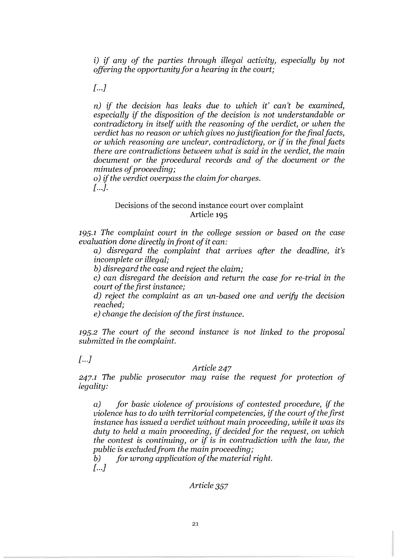i) if *any of the parties through illegal activity, especially by not offering the opportunityfor* a *hearing in the court;* 

 $\sqrt{a}$ ...  $\sqrt{a}$ 

n) if *the decision has leaks due to which it' can't be examined, especially* if *the disposition of the decision* is *not understandable or contradictory* in *itself with the reasoning of the verdict, or when the verdict has* no *reason or which gives* no *justification for thefinalfacts, or which reasoning are unclear, contradictory, or* if in *the final facts there are contradictions between what* is *said* in *the verdict, the main document or the procedural records and of the document or the minutes of proceeding;* 

0) if *the verdict overpass the claimfor charges.*   $\Gamma$ ...  $\Gamma$ .

## Decisions of the second instance court over complaint Article 195

195.1 *The complaint court* in *the college session or based* on *the case evaluation done directly* in *front of it can:* 

a) *disregard the complaint that arrives after the deadline, it's incomplete or illegal;* 

*b) disregard the case and reject the claim;* 

c) *can disregard the decision and return the case for re-trial in the court of the first instance;* 

d) *reject the complaint* as an *un-based one and verify the* decision *reached;* 

e) *change the decision of the first instance.* 

195.2 *The court of the second instance is not linked to the proposal submitted in the complaint.* 

 $\left[ \ldots \right]$ 

### *Article* 247

247.1 *The public prosecutor may raise the request for protection of legality:* 

a) *for basic violence of provisions of contested procedure,* if *the violence has to* do *with territorial competencies,* if *the court of the first instance has issued* a *verdict without main proceeding, while it was its duty to held* a *main proceeding,* if *decided for the request,* on *which the contest* is *continuing, or* if is in *contradiction with the law, the public* is *excluded from the main proceeding;* 

*b) for wrong application of the material right.*   $\left[ \ldots \right]$ 

*Article* 357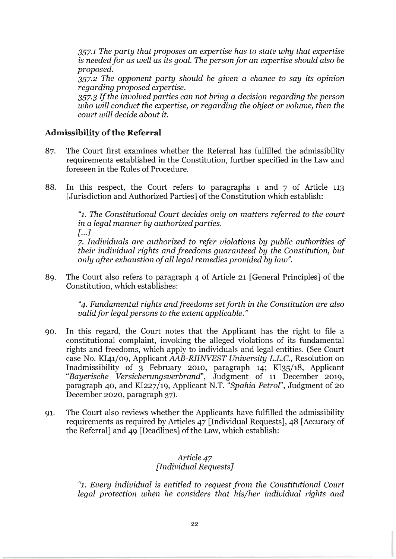*357.1 The party that proposes* an *expertise has to state why that expertise*  is *neededfor* as *well* as *its goal. The person for* an *expertise should also be proposed.* 

*357.2 The opponent party should be given* a *chance to say its opinion regarding proposed expertise.* 

*357.3 If the involved parties can not bring* a *decision regarding the person who will conduct the expertise, or regarding the object or volume, then the court will decide about* it.

### **Admissibility of the Referral**

- 87. The Court first examines whether the Referral has fulfilled the admissibility requirements established in the Constitution, further specified in the Law and foreseen in the Rules of Procedure.
- 88. In this respect, the Court refers to paragraphs 1 and 7 of Article 113 [Jurisdiction and Authorized Parties] of the Constitution which establish:

*"1. The Constitutional Court decides only* on *matters referred to the court*  in a *legal manner by authorized parties.*   $\left[ \ldots \right]$ 

*7. Individuals are authorized to refer violations by public authorities of their individual rights and freedoms guaranteed by the Constitution, but only after exhaustion of all legal remedies provided by law".* 

89. The Court also refers to paragraph 4 of Article 21 [General Principles] of the Constitution, which establishes:

> *"4. Fundamental rights and freedoms set forth* in *the Constitution are also validfor legal persons to the extent applicable."*

- 90. In this regard, the Court notes that the Applicant has the right to file a constitutional complaint, invoking the alleged violations of its fundamental rights and freedoms, which apply to individuals and legal entities. (See Court case No. *KI41/09, Applicant AAB-RIINVEST University L.L.C.*, Resolution on Inadmissibility of 3 February 2010, paragraph 14; *Kl3S/18,* Applicant *"Bayerische Versicherungsverbrand",* Judgment of 11 December 2019, paragraph 40, and *Kl227/19,* Applicant N.T. *"Spahia Petrol",* Judgment of 20 December 2020, paragraph 37).
- 91. The Court also reviews whether the Applicants have fulfilled the admissibility requirements as required by Articles 47 [Individual Requests], 48 [Accuracy of the Referral] and 49 [Deadlines] of the Law, which establish:

## *Article* 47 *[Individual Requests]*

*"1. Every individual* is *entitled to request from the Constitutional Court legal protection when he considers that his/her individual rights and*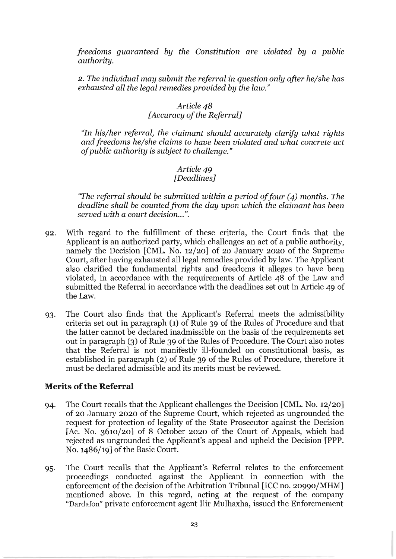*freedoms guaranteed by the Constitution are violated by* a *public authority.* 

*2. The individual may submit the referral* in *question only after he/she has exhausted all the legal remedies provided by the law."* 

# *Article* 48

*[Accuracy of the Referral]* 

*"In his/her referral, the claimant should accurately clarify what rights and freedoms he/she claims to have been violated and what concrete act of public authority* is *subject to challenge."* 

### *Article 49 [Deadlines]*

*"The referral should be submitted within* a *period offour* (4) *months. The deadline shall be counted from the day upon which the claimant has been served with* a *court decision ...* ".

- 92. With regard to the fulfIllment of these criteria, the Court finds that the Applicant is an authorized party, which challenges an act of a public authority, namely the Decision [CML. No. 12/20] of 20 January 2020 of the Supreme Court, after having exhausted all legal remedies provided by law. The Applicant also clarified the fundamental rights and freedoms it alleges to have been violated, in accordance with the requirements of Article 48 of the Law and submitted the Referral in accordance with the deadlines set out in Article 49 of the Law.
- 93. The Court also finds that the Applicant's Referral meets the admissibility criteria set out in paragraph (1) of Rule 39 of the Rules of Procedure and that the latter cannot be declared inadmissible on the basis of the requirements set out in paragraph (3) of Rule 39 of the Rules of Procedure. The Court also notes that the Referral is not manifestly ill-founded on constitutional basis, as established in paragraph (2) of Rule 39 of the Rules of Procedure, therefore it must be declared admissible and its merits must be reviewed.

## **Merits of the Referral**

- 94. The Court recalls that the Applicant challenges the Decision [CML. No. 12/20] of 20 January 2020 of the Supreme Court, which rejected as ungrounded the request for protection of legality of the State Prosecutor against the Decision [Ac. No. 3610/20] of 8 October 2020 of the Court of Appeals, which had rejected as ungrounded the Applicant's appeal and upheld the Decision [PPP. No. 1486/19] of the Basic Court.
- 95. The Court recalls that the Applicant's Referral relates to the enforcement proceedings conducted against the Applicant in connection with the enforcement of the decision of the Arbitration Tribunal [ICC no. 20990/MHM] mentioned above. In this regard, acting at the request of the company "Dardafon" private enforcement agent Ilir Mulhaxha, issued the Enforcmement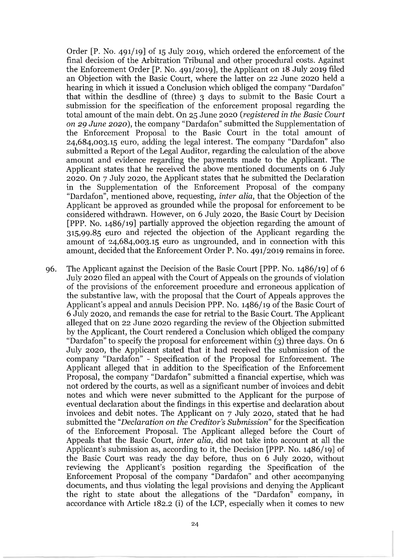Order  $[P. No. 491/19]$  of 15 July 2019, which ordered the enforcement of the final decision of the Arbitration Tribunal and other procedural costs. Against the Enforcement Order [P. No. 491/2019], the Applicant on  $18$  July 2019 filed an Objection with the Basic Court, where the latter on 22 June 2020 held a hearing in which it issued a Conclusion which obliged the company "Dardafon" that within the desdline of (three) 3 days to submit to the Basic Court a submission for the specification of the enforcement proposal regarding the total amount of the main debt. On 25 June 2020 *(registered in the Basic Court on* 29 *June* 2020), the company "Dardafon" submitted the Supplementation of the Enforcement Proposal to the Basic Court in the total amount of 24,684,003.15 euro, adding the legal interest. The company "Dardafon" also submitted a Report of the Legal Auditor, regarding the calculation of the above amount and evidence regarding the payments made to the Applicant. The Applicant states that he received the above mentioned documents on 6 July 2020. On 7 July 2020, the Applicant states that he submitted the Declaration in the Supplementation of the Enforcement Proposal of the company "Dardafon", mentioned above, requesting, *inter alia,* that the Objection of the Applicant be approved as grounded while the proposal for enforcement to be considered withdrawn. However, on 6 July 2020, the Basic Court by Decision [PPP. No. 1486/19] partially approved the objection regarding the amount of 315,99.85 euro and rejected the objection of the Applicant regarding the amount of 24,684,003.15 euro as ungrounded, and in connection with this amount, decided that the Enforcement Order P. No. 491/2019 remains in force.

96. The Applicant against the Decision of the Basic Court [PPP. No. 1486/19] of 6 July 2020 filed an appeal with the Court of Appeals on the grounds of violation of the provisions of the enforcement procedure and erroneous application of the substantive law, with the proposal that the Court of Appeals approves the Applicant's appeal and annuls Decision PPP. No. 1486/19 of the Basic Court of 6 July 2020, and remands the case for retrial to the Basic Court. The Applicant alleged that on 22 June 2020 regarding the review of the Objection submitted by the Applicant, the Court rendered a Conclusion which obliged the company "Dardafon" to specify the proposal for enforcement within (3) three days. On 6 July 2020, the Applicant stated that it had received the submission of the company "Dardafon" - Specification of the Proposal for Enforcement. The Applicant alleged that in addition to the Specification of the Enforcement Proposal, the company "Dardafon" submitted a financial expertise, which was not ordered by the courts, as well as a significant number of invoices and debit notes and which were never submitted to the Applicant for the purpose of eventual declaration about the findings in this expertise and declaration about invoices and debit notes. The Applicant on 7 July 2020, stated that he had submitted the *"Declaration on the Creditor's Submission"* for the Specification of the Enforcement Proposal. The Applicant alleged before the Court of Appeals that the Basic Court, *inter alia,* did not take into account at all the Applicant's submission as, according to it, the Decision [PPP. No. 1486/19] of the Basic Court was ready the day before, thus on 6 July 2020, without reviewing the Applicant's position regarding the Specification of the Enforcement Proposal of the company "Dardafon" and other accompanying documents, and thus violating the legal provisions and denying the Applicant the right to state about the allegations of the "Dardafon" company, in accordance with Article 182.2 (i) of the LCP, especially when it comes to new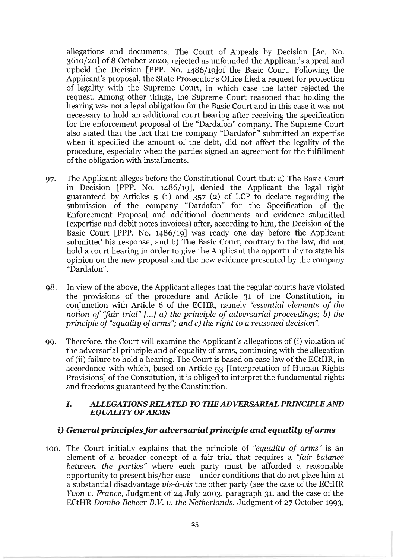allegations and documents. The Court of Appeals by Decision [Ac. No. 3610/20] of 8 October 2020, rejected as unfounded the Applicant's appeal and upheld the Decision [PPP. No. 1486/19]of the Basic Court. Following the Applicant's proposal, the State Prosecutor's Office filed a request for protection of legality with the Supreme Court, in which case the latter rejected the request. Among other things, the Supreme Court reasoned that holding the hearing was not a legal obligation for the Basic Court and in this case it was not necessary to hold an additional court hearing after receiving the specification for the enforcement proposal of the "Dardafon" company. The Supreme Court also stated that the fact that the company "Dardafon" submitted an expertise when it specified the amount of the debt, did not affect the legality of the procedure, especially when the parties signed an agreement for the fulfillment of the obligation with installments.

- 97. The Applicant alleges before the Constitutional Court that: a) The Basic Court in Decision [PPP. No. 1486/19], denied the Applicant the legal right guaranteed by Articles 5 (1) and 357 (2) of LCP to declare regarding the submission of the company "Dardafon" for the Specification of the Enforcement Proposal and additional documents and evidence submitted (expertise and debit notes invoices) after, according to him, the Decision of the Basic Court [PPP. No. 1486/19] was ready one day before the Applicant submitted his response; and b) The Basic Court, contrary to the law, did not hold a court hearing in order to give the Applicant the opportunity to state his opinion on the new proposal and the new evidence presented by the company "Dardafon".
- 98. In view of the above, the Applicant alleges that the regular courts have violated the provisions of the procedure and Article 31 of the Constitution, in conjunction with Article 6 of the ECHR, namely *"essential elements of the notion of "fair trial" [...] a) the principle of adversarial proceedings; b) the principle of "equality of arms"; and* c) *the right to a reasoned decision".*
- 99. Therefore, the Court will examine the Applicant's allegations of (i) violation of the adversarial principle and of equality of arms, continuing with the allegation of (ii) failure to hold a hearing. The Court is based on case law of the ECtHR, in accordance with which, based on Article 53 [Interpretation of Human Rights Provisions] of the Constitution, it is obliged to interpret the fundamental rights and freedoms guaranteed by the Constitution.

### I. *ALLEGATIONS RELATED TO THE ADVERSARIAL PRINCIPLE AND EQUALITY OF ARMS*

## i) *General principlesfor adversarial principle and equality of arms*

100. The Court initially explains that the principle of *"equality of arms"* is an element of a broader concept of a fair trial that requires a *"fair balance between the parties"* where each party must be afforded a reasonable opportunity to present his/her case - under conditions that do not place him at a substantial disadvantage *vis-a.-vis* the other party (see the case of the ECtHR *Yvon v. France,* Judgment of 24 July 2003, paragraph 31, and the case of the ECtHR *Dombo Beheer B. V. v. the Netherlands,* Judgment of 27 October 1993,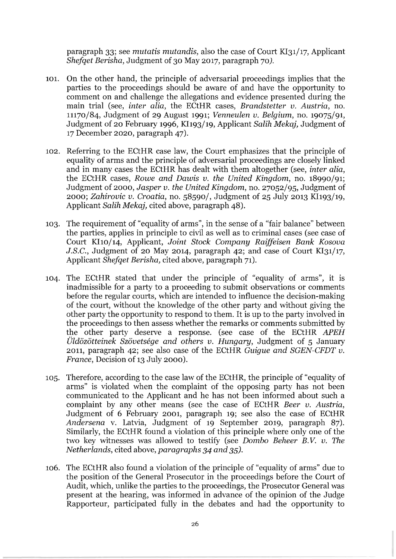paragraph 33; see *mutatis mutandis,* also the case of Court KI31/17, Applicant *Shefqet Berisha,* Judgment of 30 May 2017, paragraph 70).

- 101. On the other hand, the principle of adversarial proceedings implies that the parties to the proceedings should be aware of and have the opportunity to comment on and challenge the allegations and evidence presented during the main trial (see, *inter alia,* the ECtHR cases, *Brandstetter v. Austria,* no. 11170/84, Judgment of 29 August 1991; *Venneulen v. Belgium,* no. 19075/91, Judgment of 20 February 1996, KI193/19, Applicant *Salih Mekaj,* Judgment of 17 December 2020, paragraph 47).
- 102. Referring to the ECtHR case law, the Court emphasizes that the principle of equality of arms and the principle of adversarial proceedings are closely linked and in many cases the ECtHR has dealt with them altogether (see, *inter alia,*  the ECtHR cases, *Rowe and Dawis v. the United Kingdom,* no. 18990/91; Judgment of 2000, *Jasper v. the United Kingdom,* no. 27052/95, Judgment of 2000; *Zahirovic v. Croatia,* no. 58590/, Judgment of 25 July 2013 KI193/19, Applicant *Salih Mekaj,* cited above, paragraph 48).
- 103. The requirement of "equality of arms", in the sense of a "fair balance" between the parties, applies in principle to civil as well as to criminal cases (see case of Court KI10/14, Applicant, *Joint Stock Company Raiffeisen Bank Kosova J.S.C.*, Judgment of 20 May 2014, paragraph 42; and case of Court KI31/17, Applicant *Shefqet Berisha,* cited above, paragraph 71).
- 104. The ECtHR stated that under the principle of "equality of arms", it is inadmissible for a party to a proceeding to submit observations or comments before the regular courts, which are intended to influence the decision-making of the court, without the knowledge of the other party and without giving the other party the opportunity to respond to them. It is up to the party involved in the proceedings to then assess whether the remarks or comments submitted by the other party deserve a response. (see case of the ECtHR *APEH Uldozotteinek Szovetsege and others v. Hungary,* Judgment of 5 January 2011, paragraph 42; see also case of the ECtHR *Guigue and SGEN-CFDT v. France*, Decision of 13 July 2000).
- 105. Therefore, according to the case law of the ECtHR, the principle of "equality of arms" is violated when the complaint of the opposing party has not been communicated to the Applicant and he has not been informed about such a complaint by any other means (see the case of ECtHR *Beer v. Austria,*  Judgment of 6 February 2001, paragraph 19; see also the case of ECtHR *Andersena* v. Latvia, Judgment of 19 September 2019, paragraph 87). Similarly, the ECtHR found a violation of this principle where only one of the two key witnesses was allowed to testify (see *Dombo Beheer B.* V. *v. The Netherlands,* cited above, *paragraphs* 34 *and 35).*
- 106. The ECtHR also found a violation of the principle of "equality of arms" due to the position of the General Prosecutor in the proceedings before the Court of Audit, which, unlike the parties to the proceedings, the Prosecutor General was present at the hearing, was informed in advance of the opinion of the Judge Rapporteur, participated fully in the debates and had the opportunity to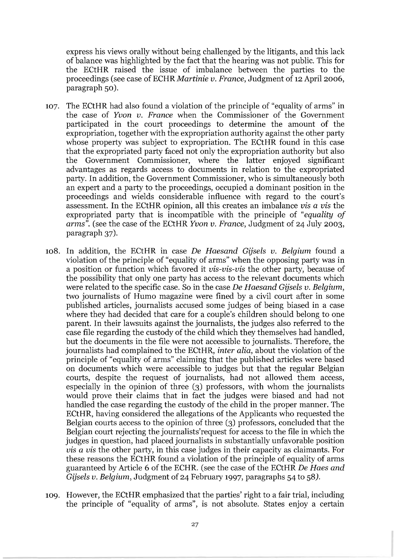express his views orally without being challenged by the litigants, and this lack of balance was highlighted by the fact that the hearing was not public. This for the ECtHR raised the issue of imbalance between the parties to the proceedings (see case of ECHR *Martinie v. France*, Judgment of 12 April 2006, paragraph 50).

- 107. The ECtHR had also found a violation of the principle of "equality of arms" in the case of *Yvon v. France* when the Commissioner of the Government participated in the court proceedings to determine the amount of the expropriation, together with the expropriation authority against the other party whose property was subject to expropriation. The ECtHR found in this case that the expropriated party faced not only the expropriation authority but also the Government Commissioner, where the latter enjoyed significant advantages as regards access to documents in relation to the expropriated party. In addition, the Government Commissioner, who is simultaneously both an expert and a party to the proceedings, occupied a dominant position in the proceedings and wields considerable influence with regard to the court's assessment. In the ECtHR opinion, all this creates an imbalance *vis* a *vis* the expropriated party that is incompatible with the principle of *"equality of arms",* (see the case of the ECtHR *Yvon v. France,* Judgment of 24 July 2003, paragraph 37).
- lOS, In addition, the ECtHR in case De *Haesand Gijsels v. Belgium* found a violation of the principle of "equality of arms" when the opposing party was in a position or function which favored it *vis-vis-vis* the other party, because of the possibility that only one party has access to the relevant documents which were related to the specific case. So in the case De *Haesand Gijsels v. Belgium,*  two journalists of Humo magazine were fined by a civil court after in some published articles, journalists accused some judges of being biased in a case where they had decided that care for a couple's children should belong to one parent. In their lawsuits against the journalists, the judges also referred to the case file regarding the custody of the child which they themselves had handled, but the documents in the file were not accessible to journalists. Therefore, the journalists had complained to the ECtHR, *inter alia,* about the violation of the principle of "equality of arms" claiming that the published articles were based on documents which were accessible to judges but that the regular Belgian courts, despite the request of journalists, had not allowed them access, especially in the opinion of three (3) professors, with whom the journalists would prove their claims that in fact the judges were biased and had not handled the case regarding the custody of the child in the proper manner. The ECtHR, having considered the allegations of the Applicants who requested the Belgian courts access to the opinion of three (3) professors, concluded that the Belgian court rejecting the journalists'request for access to the file in which the judges in question, had placed journalists in substantially unfavorable position *vis* a *vis* the other party, in this case judges in their capacity as claimants. For these reasons the ECtHR found a violation of the principle of equality of arms guaranteed by Article 6 of the ECHR. (see the case of the ECtHR De *Haes and Gijsels v. Belgium,* Judgment of 24 February 1997, paragraphs 54 to 5S).
- 109. However, the ECtHR emphasized that the parties' right to a fair trial, including the principle of "equality of arms", is not absolute. States enjoy a certain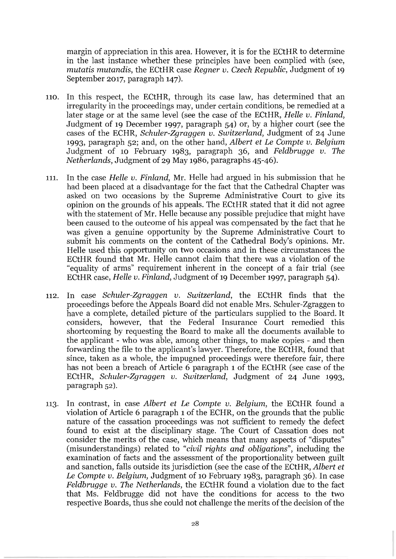margin of appreciation in this area. However, it is for the ECtHR to determine in the last instance whether these principles have been complied with (see, *mutatis mutandis,* the ECtHR case *Regner v. Czech Republic,* Judgment of 19 September 2017, paragraph 147).

- 110. In this respect, the ECtHR, through its case law, has determined that an irregularity in the proceedings may, under certain conditions, be remedied at a later stage or at the same level (see the case of the ECtHR, *Helle v. Finland,*  Judgment of 19 December 1997, paragraph 54) or, by a higher court (see the cases of the ECHR, *Schuler-Zgraggen v. Switzerland,* Judgment of 24 June 1993, paragraph 52; and, on the other hand, *Albert et Le Compte v. Belgium*  Judgment of 10 February 1983, paragraph 36, and *Feldbrugge v. The Netherlands,* Judgment of 29 May 1986, paragraphs 45-46).
- 111. In the case *Helle v. Finland,* Mr. Helle had argued in his submission that he had been placed at a disadvantage for the fact that the Cathedral Chapter was asked on two occasions by the Supreme Administrative Court to give its opinion on the grounds of his appeals. The ECtHR stated that it did not agree with the statement of Mr. Helle because any possible prejudice that might have been caused to the outcome of his appeal was compensated by the fact that he was given a genuine opportunity by the Supreme Administrative Court to submit his comments on the content of the Cathedral Body's opinions. Mr. Helle used this opportunity on two occasions and in these circumstances the ECtHR found that Mr. Helle cannot claim that there was a violation of the "equality of arms" requirement inherent in the concept of a fair trial (see ECtHR case, *Helle v. Finland,* Judgment of 19 December 1997, paragraph 54).
- 112. In case *Schuler-Zgraggen v. Switzerland,* the ECtHR finds that the proceedings before the Appeals Board did not enable Mrs. Schuler-Zgraggen to have a complete, detailed picture of the particulars supplied to the Board. It considers, however, that the Federal Insurance Court remedied this shortcoming by requesting the Board to make all the documents available to the applicant - who was able, among other things, to make copies - and then forwarding the file to the applicant's lawyer. Therefore, the ECtHR, found that since, taken as a whole, the impugned proceedings were therefore fair, there has not been a breach of Article 6 paragraph 1 of the ECtHR (see case of the ECtHR, *Schuler-Zgraggen v. Switzerland,* Judgment of 24 June 1993, paragraph 52).
- 113. In contrast, in case *Albert et Le Compte v. Belgium,* the ECtHR found a violation of Article 6 paragraph 1 of the ECHR, on the grounds that the public nature of the cassation proceedings was not sufficient to remedy the defect found to exist at the disciplinary stage. The Court of Cassation does not consider the merits of the case, which means that many aspects of "disputes" (misunderstandings) related to *"civil rights and obligations",* including the examination of facts and the assessment of the proportionality between guilt and sanction, falls outside its jurisdiction (see the case of the ECtHR, *Albert et Le Compte v. Belgium,* Judgment of 10 February 1983, paragraph 36). In case *Feldbrugge v. The Netherlands,* the ECtHR found a violation due to the fact that Ms. Feldbrugge did not have the conditions for access to the two respective Boards, thus she could not challenge the merits of the decision of the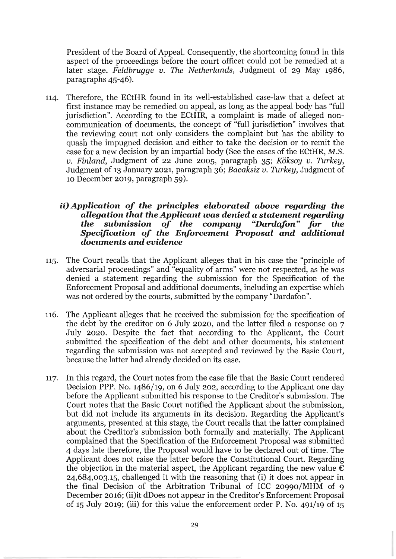President of the Board of Appeal. Consequently, the shortcoming found in this aspect of the proceedings before the court officer could not be remedied at a later stage. *Feldbrugge v. The Netherlands,* Judgment of 29 May 1986, paragraphs 45-46).

114. Therefore, the ECtHR found in its well-established case-law that a defect at first instance may be remedied on appeal, as long as the appeal body has "full jurisdiction". According to the ECtHR, a complaint is made of alleged noncommunication of documents, the concept of "full jurisdiction" involves that the reviewing court not only considers the complaint but has the ability to quash the impugned decision and either to take the decision or to remit the case for a new decision by an impartial body (See the cases of the ECtHR, *M.S. v. Finland,* Judgment of 22 June 2005, paragraph 35; *Koksoy v. Turkey,*  Judgment of 13 January 2021, paragraph 36; *Bacaksiz v. Turkey,* Judgment of 10 December 2019, paragraph 59).

## *ii) Application of the principles elaborated above regarding the allegation that the Applicant was* **denied a** *statement regarding the submission of the company* **"Dardqfon"** *for the Specification of the Enforcement Proposal and additional documents and evidence*

- 115. The Court recalls that the Applicant alleges that in his case the "principle of adversarial proceedings" and "equality of arms" were not respected, as he was denied a statement regarding the submission for the Specification of the Enforcement Proposal and additional documents, including an expertise which was not ordered by the courts, submitted by the company "Dardafon".
- 116. The Applicant alleges that he received the submission for the specification of the debt by the creditor on 6 July 2020, and the latter filed a response on 7 July 2020. Despite the fact that according to the Applicant, the Court submitted the specification of the debt and other documents, his statement regarding the submission was not accepted and reviewed by the Basic Court, because the latter had already decided on its case.
- 117. In this regard, the Court notes from the case file that the Basic Court rendered Decision PPP. No. 1486/19, on 6 July 202, according to the Applicant one day before the Applicant submitted his response to the Creditor's submission. The Court notes that the Basic Court notified the Applicant about the submission, but did not include its arguments in its decision. Regarding the Applicant's arguments, presented at this stage, the Court recalls that the latter complained about the Creditor's submission both formally and materially. The Applicant complained that the Specification of the Enforcement Proposal was submitted 4 days late therefore, the Proposal would have to be declared out of time. The Applicant does not raise the latter before the Constitutional Court. Regarding the objection in the material aspect, the Applicant regarding the new value  $\epsilon$ 24,684,003.15, challenged it with the reasoning that (i) it does not appear in the final Decision of the Arbitration Tribunal of ICC 20990/MHM of 9 December 2016; (ii)it dDoes not appear in the Creditor's Enforcement Proposal of 15 July 2019; (iii) for this value the enforcement order P. No. 491/19 of 15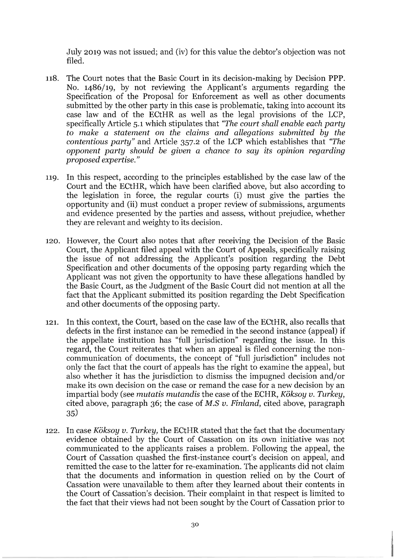July 2019 was not issued; and (iv) for this value the debtor's objection was not filed.

- 118. The Court notes that the Basic Court in its decision-making by Decision PPP. No. 1486/19, by not reviewing the Applicant's arguments regarding the Specification of the Proposal for Enforcement as well as other documents submitted by the other party in this case is problematic, taking into account its case law and of the ECtHR as well as the legal provisions of the LCP, specifically Article 5.1 which stipulates that *"The court shall enable each party*  to *make* a *statement on the claims and allegations submitted by the contentious party"* and Article 357.2 of the LCP which establishes that *"The opponent party should be given* a *chance* to *say its opinion regarding proposed expertise."*
- 119. In this respect, according to the principles established by the case law of the Court and the ECtHR, which have been clarified above, but also according to the legislation in force, the regular courts (i) must give the parties the opportunity and (ii) must conduct a proper review of submissions, arguments and evidence presented by the parties and assess, without prejudice, whether they are relevant and weighty to its decision.
- 120. However, the Court also notes that after receiving the Decision of the Basic Court, the Applicant filed appeal with the Court of Appeals, specifically raising the issue of not addressing the Applicant's position regarding the Debt Specification and other documents of the opposing party regarding which the Applicant was not given the opportunity to have these allegations handled by the Basic Court, as the Judgment of the Basic Court did not mention at all the fact that the Applicant submitted its position regarding the Debt Specification and other documents of the opposing party.
- 121. In this context, the Court, based on the case law of the ECtHR, also recalls that defects in the first instance can be remedied in the second instance (appeal) if the appellate institution has "full jurisdiction" regarding the issue. In this regard, the Court reiterates that when an appeal is filed concerning the noncommunication of documents, the concept of "full jurisdiction" includes not only the fact that the court of appeals has the right to examine the appeal, but also whether it has the jurisdiction to dismiss the impugned decision and/or make its own decision on the case or remand the case for a new decision by an impartial body (see *mutatis mutandis* the case of the ECHR, *Koksoy v. Turkey,*  cited above, paragraph 36; the case of *M.S v. Finland,* cited above, paragraph 35)
- 122. In case *Koksoy v. Turkey,* the ECtHR stated that the fact that the documentary evidence obtained by the Court of Cassation on its own initiative was not communicated to the applicants raises a problem. Following the appeal, the Court of Cassation quashed the first-instance court's decision on appeal, and remitted the case to the latter for re-examination. The applicants did not claim that the documents and information in question relied on by the Court of Cassation were unavailable to them after they learned about their contents in the Court of Cassation's decision. Their complaint in that respect is limited to the fact that their views had not been sought by the Court of Cassation prior to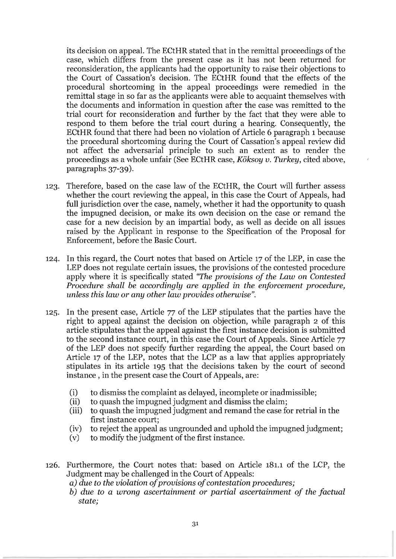its decision on appeal. The ECtHR stated that in the remittal proceedings of the case, which differs from the present case as it has not been returned for reconsideration, the applicants had the opportunity to raise their objections to the Court of Cassation's decision. The ECtHR found that the effects of the procedural shortcoming in the appeal proceedings were remedied in the remittal stage in so far as the applicants were able to acquaint themselves with the documents and information in question after the case was remitted to the trial court for reconsideration and further by the fact that they were able to respond to them before the trial court during a hearing. Consequently, the ECtHR found that there had been no violation of Article 6 paragraph 1 because the procedural shortcoming during the Court of Cassation's appeal review did not affect the adversarial principle to such an extent as to render the proceedings as a whole unfair (See ECtHR case, *Koksoy v. Turkey,* cited above, paragraphs 37-39).

- 123. Therefore, based on the case law of the ECtHR, the Court will further assess whether the court reviewing the appeal, in this case the Court of Appeals, had full jurisdiction over the case, namely, whether it had the opportunity to quash the impugned decision, or make its own decision on the case or remand the case for a new decision by an impartial body, as well as decide on all issues raised by the Applicant in response to the Specification of the Proposal for Enforcement, before the Basic Court.
- 124. In this regard, the Court notes that based on Article 17 of the LEP, in case the LEP does not regulate certain issues, the provisions of the contested procedure apply where it is specifically stated *"The provisions of the Law* on *Contested Procedure shall be accordingly are applied* in *the enforcement procedure, unless this law* or *any other law provides otherwise".*
- 125. In the present case, Article 77 of the LEP stipulates that the parties have the right to appeal against the decision on objection, while paragraph 2 of this article stipulates that the appeal against the first instance decision is submitted to the second instance court, in this case the Court of Appeals. Since Article 77 of the LEP does not specify further regarding the appeal, the Court based on Article 17 of the LEP, notes that the LCP as a law that applies appropriately stipulates in its article 195 that the decisions taken by the court of second instance, in the present case the Court of Appeals, are:
	- (i) to dismiss the complaint as delayed, incomplete or inadmissible;
	- (ii) to quash the impugned judgment and dismiss the claim;
	- (iii) to quash the impugned judgment and remand the case for retrial in the first instance court;
	- (iv) to reject the appeal as ungrounded and uphold the impugned judgment;
	- (v) to modify the judgment of the first instance.
- 126. Furthermore, the Court notes that: based on Article 181.1 of the LCP, the Judgment may be challenged in the Court of Appeals:

*a) due to the violation of provisions of contestation procedures;* 

*b) due to a wrong ascertainment* or *partial ascertainment of the factual state;*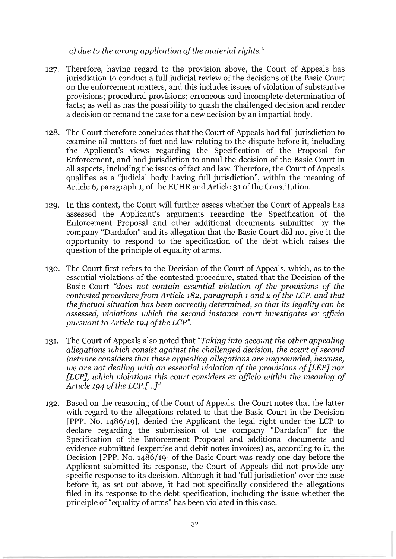## c) *due* to *the wrong application of the material rights."*

- 127. Therefore, having regard to the provision above, the Court of Appeals has jurisdiction to conduct a full judicial review of the decisions of the Basic Court on the enforcement matters, and this includes issues of violation of substantive provisions; procedural provisions; erroneous and incomplete determination of facts; as well as has the possibility to quash the challenged decision and render a decision or remand the case for a new decision by an impartial body.
- 128. The Court therefore concludes that the Court of Appeals had full jurisdiction to examine all matters of fact and law relating to the dispute before it, including the Applicant's views regarding the Specification of the Proposal for Enforcement, and had jurisdiction to annul the decision of the Basic Court in all aspects, including the issues of fact and law. Therefore, the Court of Appeals qualifies as a "judicial body having full jurisdiction", within the meaning of Article 6, paragraph 1, of the ECHR and Article 31 of the Constitution.
- 129. In this context, the Court will further assess whether the Court of Appeals has assessed the Applicant's arguments regarding the Specification of the Enforcement Proposal and other additional documents submitted by the company "Dardafon" and its allegation that the Basic Court did not give it the opportunity to respond to the specification of the debt which raises the question of the principle of equality of arms.
- 130. The Court first refers to the Decision of the Court of Appeals, which, as to the essential violations of the contested procedure, stated that the Decision of the Basic Court *"does not contain essential violation of the provisions of the contested procedure from Article* 182, *paragraph* 1 *and* 2 *of the LCP, and that the factual situation has been correctly determined,* so *that its legality can be assessed, violations which the second instance court investigates ex officio pursuant* to *Article* 194 *of the LCP".*
- 131. The Court of Appeals also noted that *"Taking into account the other appealing allegations which consist against the challenged decision, the court of second instance considers that these appealing allegations are ungrounded, because, we are not dealing with an essential violation of the provisions of [LEPj nor [LCPj, which violations this court considers ex officio within the meaning of Article* 194 *of the LCP.[ ...* j"
- 132. Based on the reasoning of the Court of Appeals, the Court notes that the latter with regard to the allegations related to that the Basic Court in the Decision [PPP. No. 1486/19], denied the Applicant the legal right under the LCP to declare regarding the submission of the company "Dardafon" for the Specification of the Enforcement Proposal and additional documents and evidence submitted (expertise and debit notes invoices) as, according to it, the Decision [PPP. No. 1486/19] of the Basic Court was ready one day before the Applicant submitted its response, the Court of Appeals did not provide any specific response to its decision. Although it had 'full jurisdiction' over the case before it, as set out above, it had not specifically considered the allegations filed in its response to the debt specification, including the issue whether the principle of "equality of arms" has been violated in this case.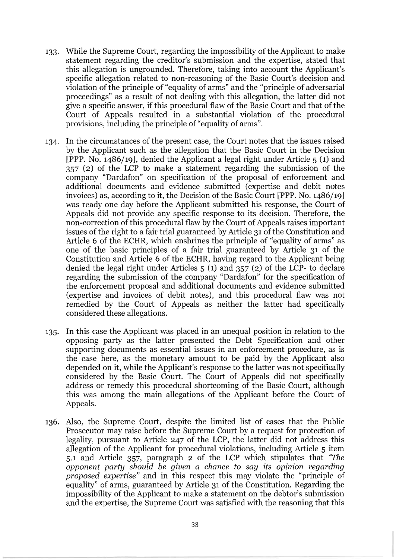- 133. While the Supreme Court, regarding the impossibility of the Applicant to make statement regarding the creditor's submission and the expertise, stated that this allegation is ungrounded. Therefore, taking into account the Applicant's specific allegation related to non-reasoning of the Basic Court's decision and violation of the principle of "equality of arms" and the "principle of adversarial proceedings" as a result of not dealing with this allegation, the latter did not give a specific answer, if this procedural flaw of the Basic Court and that of the Court of Appeals resulted in a substantial violation of the procedural provisions, including the principle of "equality of arms".
- 134. In the circumstances of the present case, the Court notes that the issues raised by the Applicant such as the allegation that the Basic Court in the Decision [PPP. No. 1486/19], denied the Applicant a legal right under Article 5 (1) and 357 (2) of the LCP to make a statement regarding the submission of the company "Dardafon" on specification of the proposal of enforcement and additional documents and evidence submitted (expertise and debit notes invoices) as, according to it, the Decision of the Basic Court [PPP. No. 1486/19] was ready one day before the Applicant submitted his response, the Court of Appeals did not provide any specific response to its decision. Therefore, the non-correction of this procedural flaw by the Court of Appeals raises important issues of the right to a fair trial guaranteed by Article 31 of the Constitution and Article 6 of the ECHR, which enshrines the principle of "equality of arms" as one of the basic principles of a fair trial guaranteed by Article 31 of the Constitution and Article 6 of the ECHR, having regard to the Applicant being denied the legal right under Articles 5 (1) and 357 (2) of the LCP- to declare regarding the submission of the company "Dardafon" for the specification of the enforcement proposal and additional documents and evidence submitted (expertise and invoices of debit notes), and this procedural flaw was not remedied by the Court of Appeals as neither the latter had specifically considered these allegations.
- 135. In this case the Applicant was placed in an unequal position in relation to the opposing party as the latter presented the Debt Specification and other supporting documents as essential issues in an enforcement procedure, as is the case here, as the monetary amount to be paid by the Applicant also depended on it, while the Applicant's response to the latter was not specifically considered by the Basic Court. The Court of Appeals did not specifically address or remedy this procedural shortcoming of the Basic Court, although this was among the main allegations of the Applicant before the Court of Appeals.
- 136. Also, the Supreme Court, despite the limited list of cases that the Public Prosecutor may raise before the Supreme Court by a request for protection of legality, pursuant to Article 247 of the LCP, the latter did not address this allegation of the Applicant for procedural violations, including Article 5 item 5.1 and Article 357, paragraph 2 of the LCP which stipulates that *"The opponent party should be given* a *chance* to *say its opinion regarding proposed expertise"* and in this respect this may violate the "principle of equality" of arms, guaranteed by Article 31 of the Constitution. Regarding the impossibility of the Applicant to make a statement on the debtor's submission and the expertise, the Supreme Court was satisfied with the reasoning that this

------------------------------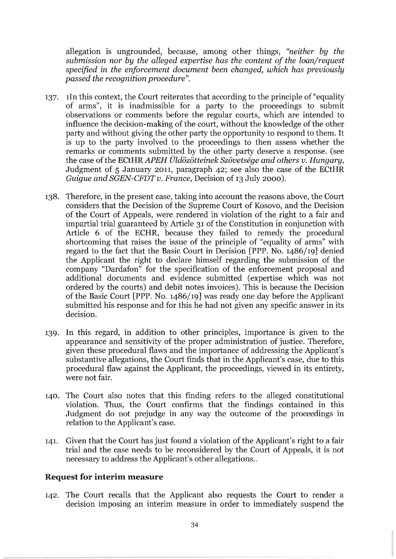allegation is ungrounded, because, among other things, *"neither by the submission nor by the alleged expertise has the content of the loan/request specified* in *the enforcement document been changed, which has previously passed the recognition procedure".* 

- 137. lIn this context, the Court reiterates that according to the principle of "equality of arms", it is inadmissible for a party to the proceedings to submit observations or comments before the regular courts, which are intended to influence the decision-making of the court, without the knowledge of the other party and without giving the other party the opportunity to respond to them. It is up to the party involved to the proceedings to then assess whether the remarks or comments submitted by the other party deserve a response. (see the case of the *ECtHRAPEH Uldozotteinek Szovetsege and others v. Hungary,*  Judgment of 5 January 2011, paragraph 42; see also the case of the ECtHR *Guigue and SGEN-CFDT v. France, Decision of 13 July 2000).*
- 138. Therefore, in the present case, taking into account the reasons above, the Court considers that the Decision of the Supreme Court of Kosovo, and the Decision of the Court of Appeals, were rendered in violation of the right to a fair and impartial trial guaranteed by Article 31 of the Constitution in conjunction with Article 6 of the ECHR, because they failed to remedy the procedural shortcoming that raises the issue of the principle of "equality of arms" with regard to the fact that the Basic Court in Decision [PPP. No. 1486/19] denied the Applicant the right to declare himself regarding the submission of the company "Dardafon" for the specification of the enforcement proposal and additional documents and evidence submitted (expertise which was not ordered by the courts) and debit notes invoices). This is because the Decision of the Basic Court [PPP. No. 1486/19] was ready one day before the Applicant submitted his response and for this he had not given any specific answer in its decision.
- 139. In this regard, in addition to other principles, importance is given to the appearance and sensitivity of the proper administration of justice. Therefore, given these procedural flaws and the importance of addressing the Applicant's substantive allegations, the Court finds that in the Applicant's case, due to this procedural flaw against the Applicant, the proceedings, viewed in its entirety, were not fair.
- 140. The Court also notes that this finding refers to the alleged constitutional violation. Thus, the Court confirms that the findings contained in this Judgment do not prejudge in any way the outcome of the proceedings in relation to the Applicant's case.
- 141. Given that the Court has just found a violation of the Applicant's right to a fair trial and the case needs to be reconsidered by the Court of Appeals, it is not necessary to address the Applicant's other allegations..

### **Request for interim measure**

142. The Court recalls that the Applicant also requests the Court to render a decision imposing an interim measure in order to immediately suspend the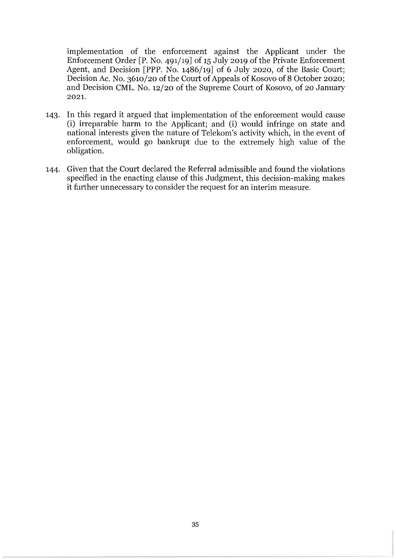implementation of the enforcement against the Applicant under the Enforcement Order [P. No. 491/19] of 15 July 2019 of the Private Enforcement Agent, and Decision [PPP. No. 1486/19] of 6 July 2020, of the Basic Court; Decision Ac. No. 3610/20 of the Court of Appeals of Kosovo of 8 October 2020; and Decision CML. No. 12/20 of the Supreme Court of Kosovo, of 20 January 2021.

- 143. In this regard it argued that implementation of the enforcement would cause (i) irreparable harm to the Applicant; and (i) would infringe on state and national interests given the nature of Telekom's activity which, in the event of enforcement, would go bankrupt due to the extremely high value of the obligation.
- 144. Given that the Court declared the Referral admissible and found the violations specified in the enacting clause of this Judgment, this decision-making makes it further unnecessary to consider the request for an interim measure.